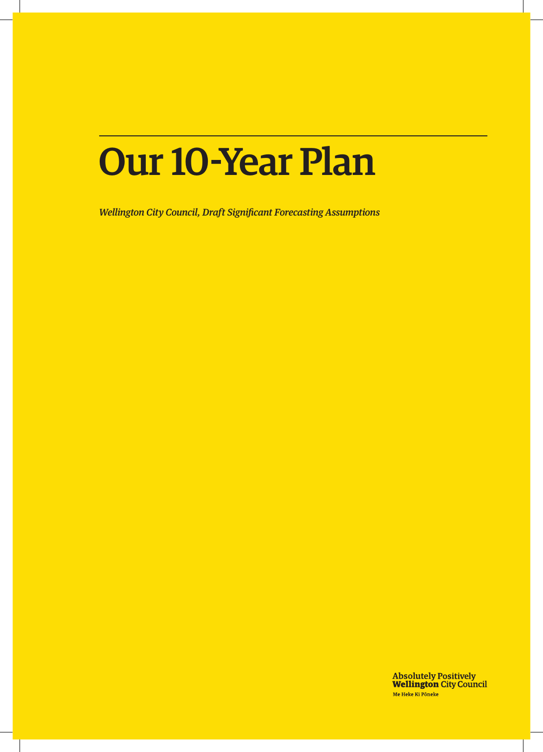## Our 10-Year Plan

*Wellington City Council, Draft Significant Forecasting Assumptions*

**Absolutely Positively<br>Wellington City Council** Me Heke Ki Pôneke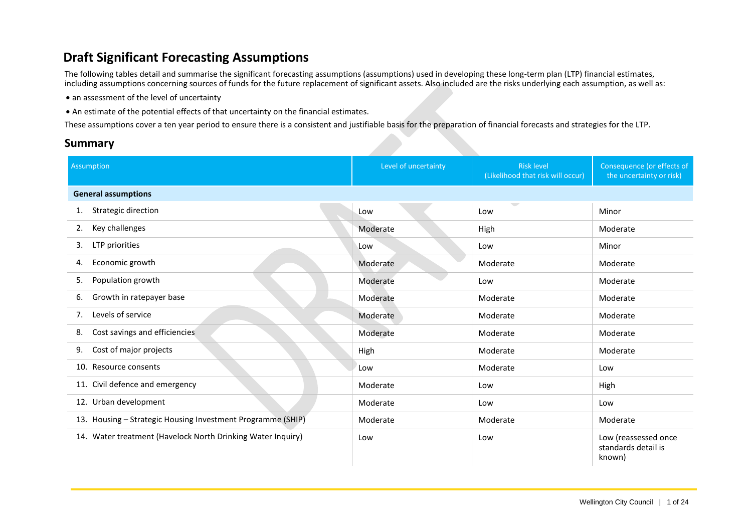## **Draft Significant Forecasting Assumptions**

The following tables detail and summarise the significant forecasting assumptions (assumptions) used in developing these long-term plan (LTP) financial estimates, including assumptions concerning sources of funds for the future replacement of significant assets. Also included are the risks underlying each assumption, as well as:

- an assessment of the level of uncertainty
- An estimate of the potential effects of that uncertainty on the financial estimates.

These assumptions cover a ten year period to ensure there is a consistent and justifiable basis for the preparation of financial forecasts and strategies for the LTP.

## **Summary**

| <b>Assumption</b>                                           | Level of uncertainty | <b>Risk level</b><br>(Likelihood that risk will occur) | Consequence (or effects of<br>the uncertainty or risk) |
|-------------------------------------------------------------|----------------------|--------------------------------------------------------|--------------------------------------------------------|
| <b>General assumptions</b>                                  |                      |                                                        |                                                        |
| Strategic direction<br>1.                                   | Low                  | $\sqrt{2}$<br>Low                                      | Minor                                                  |
| Key challenges<br>2.                                        | Moderate             | High                                                   | Moderate                                               |
| LTP priorities<br>3.                                        | Low                  | Low                                                    | Minor                                                  |
| Economic growth<br>4.                                       | Moderate             | Moderate                                               | Moderate                                               |
| Population growth<br>5.                                     | Moderate             | Low                                                    | Moderate                                               |
| Growth in ratepayer base<br>6.                              | Moderate             | Moderate                                               | Moderate                                               |
| Levels of service<br>7.                                     | Moderate             | Moderate                                               | Moderate                                               |
| Cost savings and efficiencies<br>8.                         | Moderate             | Moderate                                               | Moderate                                               |
| Cost of major projects<br>9.                                | High                 | Moderate                                               | Moderate                                               |
| 10. Resource consents                                       | Low                  | Moderate                                               | Low                                                    |
| 11. Civil defence and emergency                             | Moderate             | Low                                                    | High                                                   |
| 12. Urban development                                       | Moderate             | Low                                                    | Low                                                    |
| 13. Housing - Strategic Housing Investment Programme (SHIP) | Moderate             | Moderate                                               | Moderate                                               |
| 14. Water treatment (Havelock North Drinking Water Inquiry) | Low                  | Low                                                    | Low (reassessed once<br>standards detail is<br>known)  |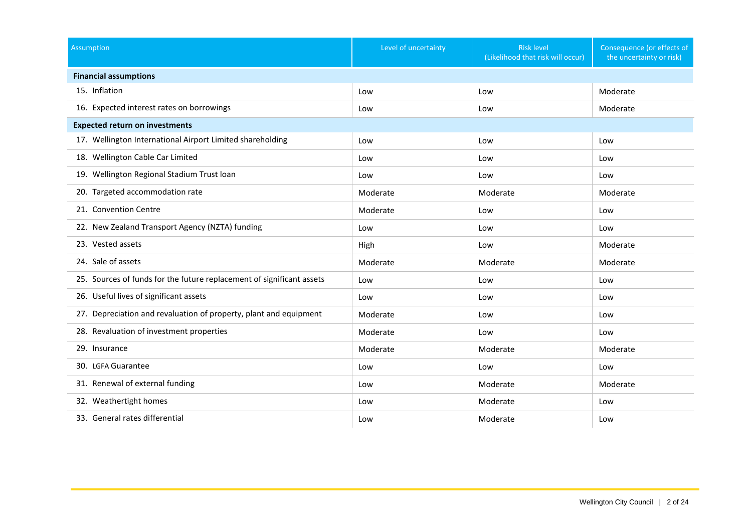| <b>Assumption</b>                                                     | Level of uncertainty | <b>Risk level</b><br>(Likelihood that risk will occur) | Consequence (or effects of<br>the uncertainty or risk) |
|-----------------------------------------------------------------------|----------------------|--------------------------------------------------------|--------------------------------------------------------|
| <b>Financial assumptions</b>                                          |                      |                                                        |                                                        |
| 15. Inflation                                                         | Low                  | Low                                                    | Moderate                                               |
| 16. Expected interest rates on borrowings                             | Low                  | Low                                                    | Moderate                                               |
| <b>Expected return on investments</b>                                 |                      |                                                        |                                                        |
| 17. Wellington International Airport Limited shareholding             | Low                  | Low                                                    | Low                                                    |
| 18. Wellington Cable Car Limited                                      | Low                  | Low                                                    | Low                                                    |
| 19. Wellington Regional Stadium Trust loan                            | Low                  | Low                                                    | Low                                                    |
| 20. Targeted accommodation rate                                       | Moderate             | Moderate                                               | Moderate                                               |
| 21. Convention Centre                                                 | Moderate             | Low                                                    | Low                                                    |
| 22. New Zealand Transport Agency (NZTA) funding                       | Low                  | Low                                                    | Low                                                    |
| 23. Vested assets                                                     | High                 | Low                                                    | Moderate                                               |
| 24. Sale of assets                                                    | Moderate             | Moderate                                               | Moderate                                               |
| 25. Sources of funds for the future replacement of significant assets | Low                  | Low                                                    | Low                                                    |
| 26. Useful lives of significant assets                                | Low                  | Low                                                    | Low                                                    |
| 27. Depreciation and revaluation of property, plant and equipment     | Moderate             | Low                                                    | Low                                                    |
| 28. Revaluation of investment properties                              | Moderate             | Low                                                    | Low                                                    |
| 29. Insurance                                                         | Moderate             | Moderate                                               | Moderate                                               |
| 30. LGFA Guarantee                                                    | Low                  | Low                                                    | Low                                                    |
| 31. Renewal of external funding                                       | Low                  | Moderate                                               | Moderate                                               |
| 32. Weathertight homes                                                | Low                  | Moderate                                               | Low                                                    |
| 33. General rates differential                                        | Low                  | Moderate                                               | Low                                                    |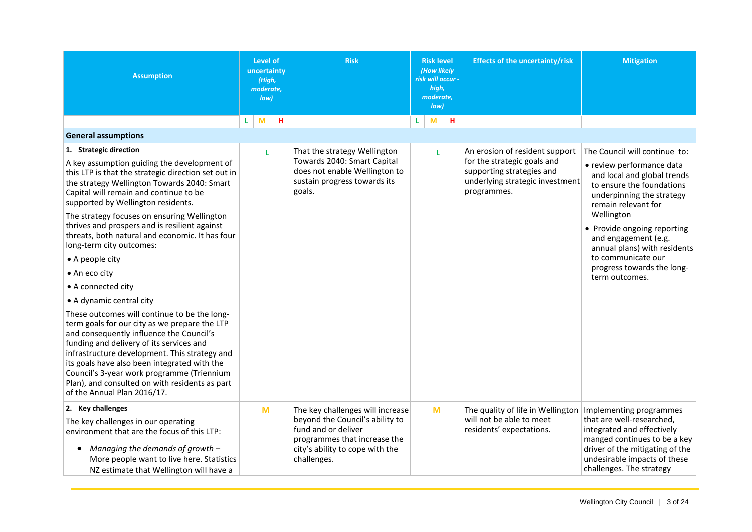<span id="page-3-1"></span><span id="page-3-0"></span>

| <b>Assumption</b>                                                                                                                                                                                                                                                                                                                                                                                                     | Level of<br>uncertainty<br>(High,<br>moderate,<br>low) | <b>Risk</b>                                                                                                                                                                  |    | <b>Risk level</b><br>(How likely<br>risk will occur -<br>high,<br>moderate,<br>low) |   | <b>Effects of the uncertainty/risk</b>                                                                                                       | <b>Mitigation</b>                                                                                                                                                                                                 |
|-----------------------------------------------------------------------------------------------------------------------------------------------------------------------------------------------------------------------------------------------------------------------------------------------------------------------------------------------------------------------------------------------------------------------|--------------------------------------------------------|------------------------------------------------------------------------------------------------------------------------------------------------------------------------------|----|-------------------------------------------------------------------------------------|---|----------------------------------------------------------------------------------------------------------------------------------------------|-------------------------------------------------------------------------------------------------------------------------------------------------------------------------------------------------------------------|
|                                                                                                                                                                                                                                                                                                                                                                                                                       | M<br>н<br>L.                                           |                                                                                                                                                                              | L. | M                                                                                   | н |                                                                                                                                              |                                                                                                                                                                                                                   |
| <b>General assumptions</b>                                                                                                                                                                                                                                                                                                                                                                                            |                                                        |                                                                                                                                                                              |    |                                                                                     |   |                                                                                                                                              |                                                                                                                                                                                                                   |
| 1. Strategic direction<br>A key assumption guiding the development of<br>this LTP is that the strategic direction set out in<br>the strategy Wellington Towards 2040: Smart<br>Capital will remain and continue to be<br>supported by Wellington residents.                                                                                                                                                           | L                                                      | That the strategy Wellington<br>Towards 2040: Smart Capital<br>does not enable Wellington to<br>sustain progress towards its<br>goals.                                       |    | L                                                                                   |   | An erosion of resident support<br>for the strategic goals and<br>supporting strategies and<br>underlying strategic investment<br>programmes. | The Council will continue to:<br>• review performance data<br>and local and global trends<br>to ensure the foundations<br>underpinning the strategy<br>remain relevant for                                        |
| The strategy focuses on ensuring Wellington<br>thrives and prospers and is resilient against<br>threats, both natural and economic. It has four<br>long-term city outcomes:                                                                                                                                                                                                                                           |                                                        |                                                                                                                                                                              |    |                                                                                     |   |                                                                                                                                              | Wellington<br>• Provide ongoing reporting<br>and engagement (e.g.<br>annual plans) with residents                                                                                                                 |
| • A people city                                                                                                                                                                                                                                                                                                                                                                                                       |                                                        |                                                                                                                                                                              |    |                                                                                     |   |                                                                                                                                              | to communicate our                                                                                                                                                                                                |
| • An eco city                                                                                                                                                                                                                                                                                                                                                                                                         |                                                        |                                                                                                                                                                              |    |                                                                                     |   |                                                                                                                                              | progress towards the long-<br>term outcomes.                                                                                                                                                                      |
| • A connected city                                                                                                                                                                                                                                                                                                                                                                                                    |                                                        |                                                                                                                                                                              |    |                                                                                     |   |                                                                                                                                              |                                                                                                                                                                                                                   |
| • A dynamic central city                                                                                                                                                                                                                                                                                                                                                                                              |                                                        |                                                                                                                                                                              |    |                                                                                     |   |                                                                                                                                              |                                                                                                                                                                                                                   |
| These outcomes will continue to be the long-<br>term goals for our city as we prepare the LTP<br>and consequently influence the Council's<br>funding and delivery of its services and<br>infrastructure development. This strategy and<br>its goals have also been integrated with the<br>Council's 3-year work programme (Triennium<br>Plan), and consulted on with residents as part<br>of the Annual Plan 2016/17. |                                                        |                                                                                                                                                                              |    |                                                                                     |   |                                                                                                                                              |                                                                                                                                                                                                                   |
| 2. Key challenges<br>The key challenges in our operating<br>environment that are the focus of this LTP:<br>Managing the demands of growth -<br>$\bullet$<br>More people want to live here. Statistics<br>NZ estimate that Wellington will have a                                                                                                                                                                      | M                                                      | The key challenges will increase<br>beyond the Council's ability to<br>fund and or deliver<br>programmes that increase the<br>city's ability to cope with the<br>challenges. |    | M                                                                                   |   | The quality of life in Wellington<br>will not be able to meet<br>residents' expectations.                                                    | Implementing programmes<br>that are well-researched,<br>integrated and effectively<br>manged continues to be a key<br>driver of the mitigating of the<br>undesirable impacts of these<br>challenges. The strategy |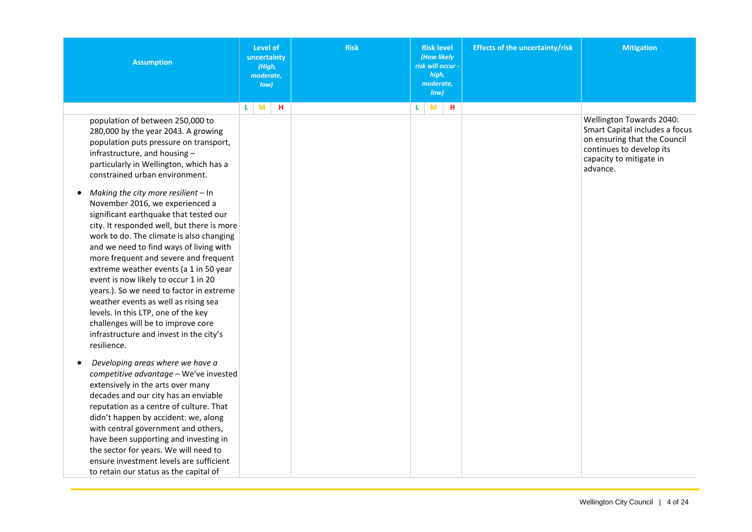| <b>Assumption</b>                                                                                                                                                                                                                                                                                                                                                                                                                                                                                                                                                                                                                                                                                                                                                                                                                              | Level of<br>uncertainty<br>(High,<br>moderate,<br>Iow | <b>Risk</b> | <b>Risk level</b><br>(How likely<br>risk will occur -<br>high,<br>moderate,<br>low) | <b>Effects of the uncertainty/risk</b> | <b>Mitigation</b>                                                                                                                                             |
|------------------------------------------------------------------------------------------------------------------------------------------------------------------------------------------------------------------------------------------------------------------------------------------------------------------------------------------------------------------------------------------------------------------------------------------------------------------------------------------------------------------------------------------------------------------------------------------------------------------------------------------------------------------------------------------------------------------------------------------------------------------------------------------------------------------------------------------------|-------------------------------------------------------|-------------|-------------------------------------------------------------------------------------|----------------------------------------|---------------------------------------------------------------------------------------------------------------------------------------------------------------|
| population of between 250,000 to<br>280,000 by the year 2043. A growing<br>population puts pressure on transport,<br>infrastructure, and housing -<br>particularly in Wellington, which has a<br>constrained urban environment.<br>Making the city more resilient - In<br>November 2016, we experienced a<br>significant earthquake that tested our<br>city. It responded well, but there is more<br>work to do. The climate is also changing<br>and we need to find ways of living with<br>more frequent and severe and frequent<br>extreme weather events (a 1 in 50 year<br>event is now likely to occur 1 in 20<br>years.). So we need to factor in extreme<br>weather events as well as rising sea<br>levels. In this LTP, one of the key<br>challenges will be to improve core<br>infrastructure and invest in the city's<br>resilience. | M<br>н<br>L.                                          |             | M<br>н<br>L                                                                         |                                        | Wellington Towards 2040:<br>Smart Capital includes a focus<br>on ensuring that the Council<br>continues to develop its<br>capacity to mitigate in<br>advance. |
| Developing areas where we have a<br>$\bullet$<br>competitive advantage - We've invested<br>extensively in the arts over many<br>decades and our city has an enviable<br>reputation as a centre of culture. That<br>didn't happen by accident: we, along<br>with central government and others,<br>have been supporting and investing in<br>the sector for years. We will need to<br>ensure investment levels are sufficient<br>to retain our status as the capital of                                                                                                                                                                                                                                                                                                                                                                          |                                                       |             |                                                                                     |                                        |                                                                                                                                                               |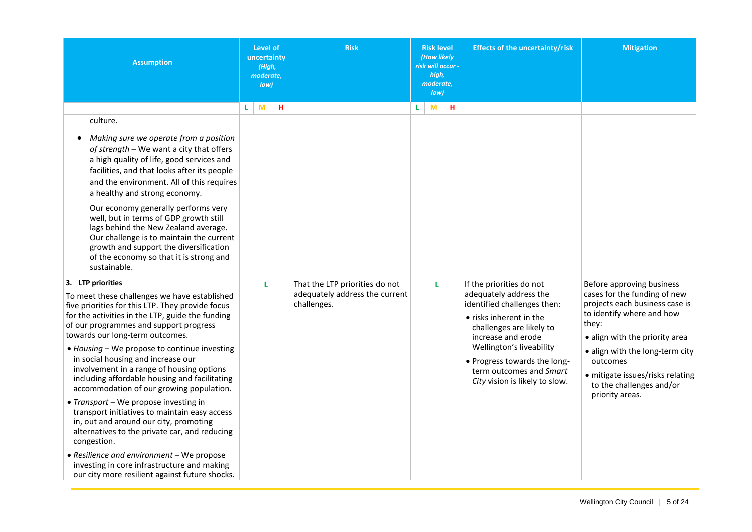<span id="page-5-0"></span>

| <b>Assumption</b>                                                                                                                                                                                                                                                      | Level of<br><b>Risk</b><br>uncertainty<br>(High,<br>moderate,<br>low) |                                               | <b>Risk level</b><br>(How likely<br>risk will occur -<br>high,<br>moderate,<br>low) | <b>Effects of the uncertainty/risk</b>                                                                                             | <b>Mitigation</b>                                                                                                                      |
|------------------------------------------------------------------------------------------------------------------------------------------------------------------------------------------------------------------------------------------------------------------------|-----------------------------------------------------------------------|-----------------------------------------------|-------------------------------------------------------------------------------------|------------------------------------------------------------------------------------------------------------------------------------|----------------------------------------------------------------------------------------------------------------------------------------|
|                                                                                                                                                                                                                                                                        | M<br>н<br>L                                                           |                                               | L<br>M<br>H.                                                                        |                                                                                                                                    |                                                                                                                                        |
| culture.                                                                                                                                                                                                                                                               |                                                                       |                                               |                                                                                     |                                                                                                                                    |                                                                                                                                        |
| Making sure we operate from a position<br>of strength - We want a city that offers<br>a high quality of life, good services and<br>facilities, and that looks after its people<br>and the environment. All of this requires<br>a healthy and strong economy.           |                                                                       |                                               |                                                                                     |                                                                                                                                    |                                                                                                                                        |
| Our economy generally performs very<br>well, but in terms of GDP growth still<br>lags behind the New Zealand average.<br>Our challenge is to maintain the current<br>growth and support the diversification<br>of the economy so that it is strong and<br>sustainable. |                                                                       |                                               |                                                                                     |                                                                                                                                    |                                                                                                                                        |
| 3. LTP priorities                                                                                                                                                                                                                                                      | L                                                                     | That the LTP priorities do not                | L                                                                                   | If the priorities do not                                                                                                           | Before approving business                                                                                                              |
| To meet these challenges we have established<br>five priorities for this LTP. They provide focus<br>for the activities in the LTP, guide the funding<br>of our programmes and support progress<br>towards our long-term outcomes.                                      |                                                                       | adequately address the current<br>challenges. |                                                                                     | adequately address the<br>identified challenges then:<br>• risks inherent in the<br>challenges are likely to<br>increase and erode | cases for the funding of new<br>projects each business case is<br>to identify where and how<br>they:<br>• align with the priority area |
| • Housing - We propose to continue investing<br>in social housing and increase our<br>involvement in a range of housing options<br>including affordable housing and facilitating<br>accommodation of our growing population.                                           |                                                                       |                                               |                                                                                     | Wellington's liveability<br>• Progress towards the long-<br>term outcomes and Smart<br>City vision is likely to slow.              | · align with the long-term city<br>outcomes<br>· mitigate issues/risks relating<br>to the challenges and/or<br>priority areas.         |
| • Transport - We propose investing in<br>transport initiatives to maintain easy access<br>in, out and around our city, promoting<br>alternatives to the private car, and reducing<br>congestion.                                                                       |                                                                       |                                               |                                                                                     |                                                                                                                                    |                                                                                                                                        |
| • Resilience and environment - We propose<br>investing in core infrastructure and making<br>our city more resilient against future shocks.                                                                                                                             |                                                                       |                                               |                                                                                     |                                                                                                                                    |                                                                                                                                        |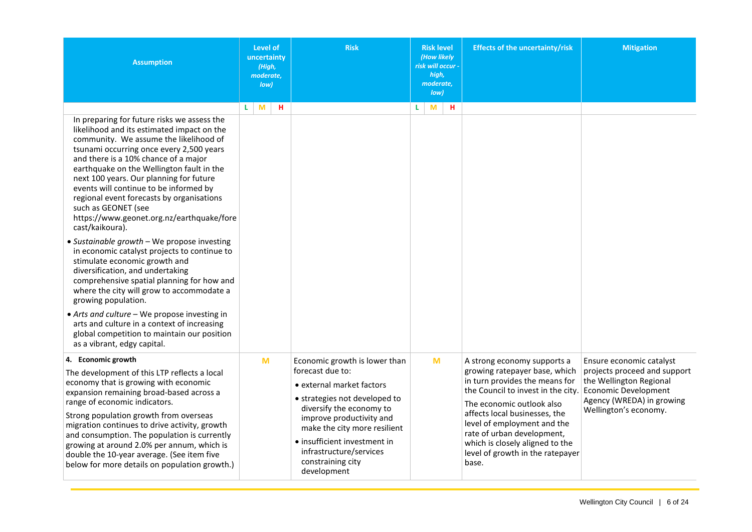<span id="page-6-0"></span>

| <b>Assumption</b>                                                                                                                                                                                                                                                                                                                                                                                                                                                                                                                                                                                                                                                                                                                                                                                                                                                                                                                                                | <b>Level of</b><br>uncertainty<br>(High,<br>moderate,<br>low) | <b>Risk</b>                                                                                                                                                                                                                                                                                            | <b>Risk level</b><br>(How likely<br>risk will occur -<br>high,<br>moderate,<br>Iow | <b>Effects of the uncertainty/risk</b>                                                                                                                                                                                                                                                                                                          | <b>Mitigation</b>                                                                                                                                                        |
|------------------------------------------------------------------------------------------------------------------------------------------------------------------------------------------------------------------------------------------------------------------------------------------------------------------------------------------------------------------------------------------------------------------------------------------------------------------------------------------------------------------------------------------------------------------------------------------------------------------------------------------------------------------------------------------------------------------------------------------------------------------------------------------------------------------------------------------------------------------------------------------------------------------------------------------------------------------|---------------------------------------------------------------|--------------------------------------------------------------------------------------------------------------------------------------------------------------------------------------------------------------------------------------------------------------------------------------------------------|------------------------------------------------------------------------------------|-------------------------------------------------------------------------------------------------------------------------------------------------------------------------------------------------------------------------------------------------------------------------------------------------------------------------------------------------|--------------------------------------------------------------------------------------------------------------------------------------------------------------------------|
| In preparing for future risks we assess the<br>likelihood and its estimated impact on the<br>community. We assume the likelihood of<br>tsunami occurring once every 2,500 years<br>and there is a 10% chance of a major<br>earthquake on the Wellington fault in the<br>next 100 years. Our planning for future<br>events will continue to be informed by<br>regional event forecasts by organisations<br>such as GEONET (see<br>https://www.geonet.org.nz/earthquake/fore<br>cast/kaikoura).<br>• Sustainable growth - We propose investing<br>in economic catalyst projects to continue to<br>stimulate economic growth and<br>diversification, and undertaking<br>comprehensive spatial planning for how and<br>where the city will grow to accommodate a<br>growing population.<br>• Arts and culture - We propose investing in<br>arts and culture in a context of increasing<br>global competition to maintain our position<br>as a vibrant, edgy capital. | M<br>н<br>L.                                                  |                                                                                                                                                                                                                                                                                                        | н<br>M<br>L                                                                        |                                                                                                                                                                                                                                                                                                                                                 |                                                                                                                                                                          |
| 4. Economic growth<br>The development of this LTP reflects a local<br>economy that is growing with economic<br>expansion remaining broad-based across a<br>range of economic indicators.<br>Strong population growth from overseas<br>migration continues to drive activity, growth<br>and consumption. The population is currently<br>growing at around 2.0% per annum, which is<br>double the 10-year average. (See item five<br>below for more details on population growth.)                                                                                                                                                                                                                                                                                                                                                                                                                                                                                 | M                                                             | Economic growth is lower than<br>forecast due to:<br>• external market factors<br>• strategies not developed to<br>diversify the economy to<br>improve productivity and<br>make the city more resilient<br>· insufficient investment in<br>infrastructure/services<br>constraining city<br>development | M                                                                                  | A strong economy supports a<br>growing ratepayer base, which<br>in turn provides the means for<br>the Council to invest in the city.<br>The economic outlook also<br>affects local businesses, the<br>level of employment and the<br>rate of urban development,<br>which is closely aligned to the<br>level of growth in the ratepayer<br>base. | Ensure economic catalyst<br>projects proceed and support<br>the Wellington Regional<br><b>Economic Development</b><br>Agency (WREDA) in growing<br>Wellington's economy. |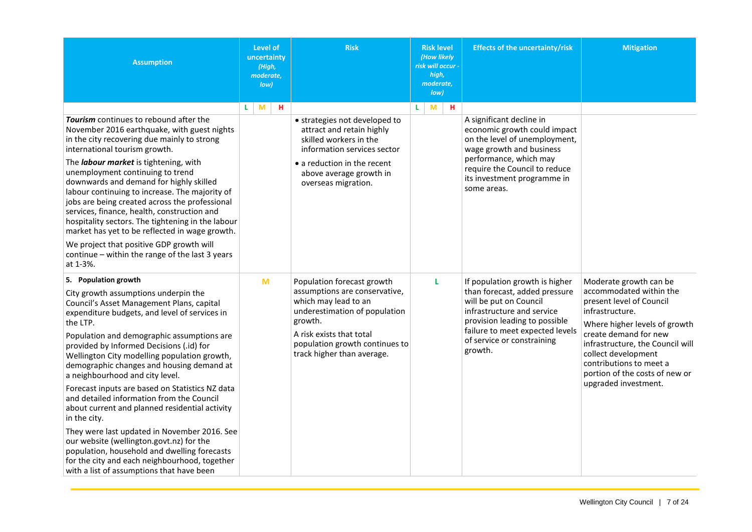<span id="page-7-0"></span>

| <b>Assumption</b>                                                                                                                                                                                                                                                                                                                                                                                                                                                                                                                                                                                                                                                                                                                                                                                            | Level of<br>uncertainty<br>(High,<br>moderate,<br>low) | <b>Risk</b>                                                                                                                                                                                                                 | <b>Risk level</b><br>(How likely<br>risk will occur -<br>high,<br>moderate.<br>low) | <b>Effects of the uncertainty/risk</b>                                                                                                                                                                                               | <b>Mitigation</b>                                                                                                                                                                                                                                                                                          |
|--------------------------------------------------------------------------------------------------------------------------------------------------------------------------------------------------------------------------------------------------------------------------------------------------------------------------------------------------------------------------------------------------------------------------------------------------------------------------------------------------------------------------------------------------------------------------------------------------------------------------------------------------------------------------------------------------------------------------------------------------------------------------------------------------------------|--------------------------------------------------------|-----------------------------------------------------------------------------------------------------------------------------------------------------------------------------------------------------------------------------|-------------------------------------------------------------------------------------|--------------------------------------------------------------------------------------------------------------------------------------------------------------------------------------------------------------------------------------|------------------------------------------------------------------------------------------------------------------------------------------------------------------------------------------------------------------------------------------------------------------------------------------------------------|
| Tourism continues to rebound after the<br>November 2016 earthquake, with guest nights<br>in the city recovering due mainly to strong<br>international tourism growth.<br>The labour market is tightening, with<br>unemployment continuing to trend<br>downwards and demand for highly skilled<br>labour continuing to increase. The majority of<br>jobs are being created across the professional<br>services, finance, health, construction and<br>hospitality sectors. The tightening in the labour<br>market has yet to be reflected in wage growth.<br>We project that positive GDP growth will<br>continue - within the range of the last 3 years<br>at 1-3%.                                                                                                                                           | L.<br>M<br>н                                           | • strategies not developed to<br>attract and retain highly<br>skilled workers in the<br>information services sector<br>• a reduction in the recent<br>above average growth in<br>overseas migration.                        | L<br>M<br>н                                                                         | A significant decline in<br>economic growth could impact<br>on the level of unemployment,<br>wage growth and business<br>performance, which may<br>require the Council to reduce<br>its investment programme in<br>some areas.       |                                                                                                                                                                                                                                                                                                            |
| 5. Population growth<br>City growth assumptions underpin the<br>Council's Asset Management Plans, capital<br>expenditure budgets, and level of services in<br>the LTP.<br>Population and demographic assumptions are<br>provided by Informed Decisions (.id) for<br>Wellington City modelling population growth,<br>demographic changes and housing demand at<br>a neighbourhood and city level.<br>Forecast inputs are based on Statistics NZ data<br>and detailed information from the Council<br>about current and planned residential activity<br>in the city.<br>They were last updated in November 2016. See<br>our website (wellington.govt.nz) for the<br>population, household and dwelling forecasts<br>for the city and each neighbourhood, together<br>with a list of assumptions that have been | M                                                      | Population forecast growth<br>assumptions are conservative,<br>which may lead to an<br>underestimation of population<br>growth.<br>A risk exists that total<br>population growth continues to<br>track higher than average. | L                                                                                   | If population growth is higher<br>than forecast, added pressure<br>will be put on Council<br>infrastructure and service<br>provision leading to possible<br>failure to meet expected levels<br>of service or constraining<br>growth. | Moderate growth can be<br>accommodated within the<br>present level of Council<br>infrastructure.<br>Where higher levels of growth<br>create demand for new<br>infrastructure, the Council will<br>collect development<br>contributions to meet a<br>portion of the costs of new or<br>upgraded investment. |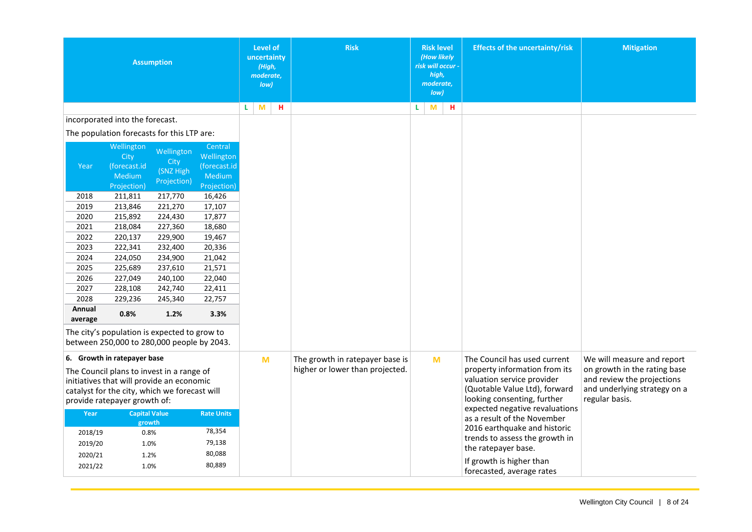<span id="page-8-0"></span>

|                    |                                                                                                                                                                         | <b>Assumption</b>               |                                                 |   | <b>Level of</b><br>uncertainty<br>(High,<br>moderate,<br>low) | <b>Risk</b>                     |   | <b>Risk level</b><br>(How likely<br>risk will occur -<br>high,<br>moderate,<br>Iow |   | <b>Effects of the uncertainty/risk</b>                                                                                                                        | <b>Mitigation</b>                                                                                            |
|--------------------|-------------------------------------------------------------------------------------------------------------------------------------------------------------------------|---------------------------------|-------------------------------------------------|---|---------------------------------------------------------------|---------------------------------|---|------------------------------------------------------------------------------------|---|---------------------------------------------------------------------------------------------------------------------------------------------------------------|--------------------------------------------------------------------------------------------------------------|
|                    |                                                                                                                                                                         |                                 |                                                 | L | M<br>н                                                        |                                 | L | M                                                                                  | н |                                                                                                                                                               |                                                                                                              |
|                    | incorporated into the forecast.                                                                                                                                         |                                 |                                                 |   |                                                               |                                 |   |                                                                                    |   |                                                                                                                                                               |                                                                                                              |
|                    | The population forecasts for this LTP are:                                                                                                                              |                                 |                                                 |   |                                                               |                                 |   |                                                                                    |   |                                                                                                                                                               |                                                                                                              |
| Year               | Wellington<br>City<br>(forecast.id<br><b>Medium</b>                                                                                                                     | Wellington<br>City<br>(SNZ High | Central<br>Wellington<br>(forecast.id<br>Medium |   |                                                               |                                 |   |                                                                                    |   |                                                                                                                                                               |                                                                                                              |
|                    | Projection)                                                                                                                                                             | Projection)                     | Projection)                                     |   |                                                               |                                 |   |                                                                                    |   |                                                                                                                                                               |                                                                                                              |
| 2018               | 211,811                                                                                                                                                                 | 217,770                         | 16,426                                          |   |                                                               |                                 |   |                                                                                    |   |                                                                                                                                                               |                                                                                                              |
| 2019               | 213,846                                                                                                                                                                 | 221,270                         | 17,107                                          |   |                                                               |                                 |   |                                                                                    |   |                                                                                                                                                               |                                                                                                              |
| 2020               | 215,892                                                                                                                                                                 | 224,430                         | 17,877                                          |   |                                                               |                                 |   |                                                                                    |   |                                                                                                                                                               |                                                                                                              |
| 2021               | 218,084                                                                                                                                                                 | 227,360                         | 18,680                                          |   |                                                               |                                 |   |                                                                                    |   |                                                                                                                                                               |                                                                                                              |
| 2022               | 220,137                                                                                                                                                                 | 229,900                         | 19,467                                          |   |                                                               |                                 |   |                                                                                    |   |                                                                                                                                                               |                                                                                                              |
| 2023               | 222,341                                                                                                                                                                 | 232,400                         | 20,336                                          |   |                                                               |                                 |   |                                                                                    |   |                                                                                                                                                               |                                                                                                              |
| 2024               | 224,050                                                                                                                                                                 | 234,900                         | 21,042                                          |   |                                                               |                                 |   |                                                                                    |   |                                                                                                                                                               |                                                                                                              |
| 2025               | 225,689                                                                                                                                                                 | 237,610                         | 21,571                                          |   |                                                               |                                 |   |                                                                                    |   |                                                                                                                                                               |                                                                                                              |
| 2026               | 227,049                                                                                                                                                                 | 240,100                         | 22,040                                          |   |                                                               |                                 |   |                                                                                    |   |                                                                                                                                                               |                                                                                                              |
| 2027               | 228,108                                                                                                                                                                 | 242,740                         | 22,411                                          |   |                                                               |                                 |   |                                                                                    |   |                                                                                                                                                               |                                                                                                              |
| 2028               | 229,236                                                                                                                                                                 | 245,340                         | 22,757                                          |   |                                                               |                                 |   |                                                                                    |   |                                                                                                                                                               |                                                                                                              |
| Annual<br>average  | 0.8%                                                                                                                                                                    | 1.2%                            | 3.3%                                            |   |                                                               |                                 |   |                                                                                    |   |                                                                                                                                                               |                                                                                                              |
|                    | The city's population is expected to grow to<br>between 250,000 to 280,000 people by 2043.                                                                              |                                 |                                                 |   |                                                               |                                 |   |                                                                                    |   |                                                                                                                                                               |                                                                                                              |
|                    | 6. Growth in ratepayer base                                                                                                                                             |                                 |                                                 |   | M                                                             | The growth in ratepayer base is |   | $\mathsf{M}$                                                                       |   | The Council has used current                                                                                                                                  | We will measure and report                                                                                   |
|                    | The Council plans to invest in a range of<br>initiatives that will provide an economic<br>catalyst for the city, which we forecast will<br>provide ratepayer growth of: |                                 |                                                 |   |                                                               | higher or lower than projected. |   |                                                                                    |   | property information from its<br>valuation service provider<br>(Quotable Value Ltd), forward<br>looking consenting, further<br>expected negative revaluations | on growth in the rating base<br>and review the projections<br>and underlying strategy on a<br>regular basis. |
| Year               | <b>Capital Value</b>                                                                                                                                                    |                                 | <b>Rate Units</b>                               |   |                                                               |                                 |   |                                                                                    |   | as a result of the November                                                                                                                                   |                                                                                                              |
| 2018/19            | growth<br>0.8%                                                                                                                                                          |                                 | 78,354                                          |   |                                                               |                                 |   |                                                                                    |   | 2016 earthquake and historic                                                                                                                                  |                                                                                                              |
| 2019/20            | 1.0%                                                                                                                                                                    |                                 | 79,138                                          |   |                                                               |                                 |   |                                                                                    |   | trends to assess the growth in                                                                                                                                |                                                                                                              |
|                    |                                                                                                                                                                         |                                 | 80,088                                          |   |                                                               |                                 |   |                                                                                    |   | the ratepayer base.                                                                                                                                           |                                                                                                              |
| 2020/21<br>2021/22 | 1.2%<br>1.0%                                                                                                                                                            |                                 | 80,889                                          |   |                                                               |                                 |   |                                                                                    |   | If growth is higher than<br>forecasted, average rates                                                                                                         |                                                                                                              |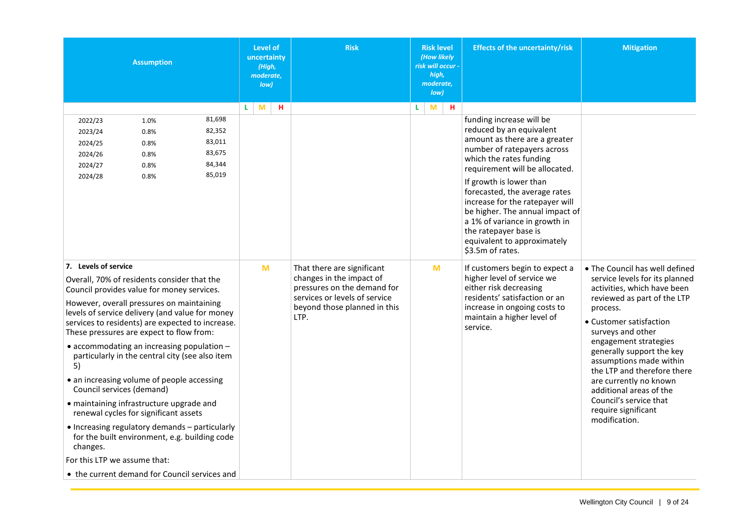| <b>Assumption</b>                                                                                                                                                                                                                                                                                   | <b>Risk</b><br>Level of<br>uncertainty<br>(High,<br>moderate.<br>low) |                                                                                                                        | <b>Risk level</b><br>(How likely<br>risk will occur -<br>high,<br>moderate,<br>low) | <b>Effects of the uncertainty/risk</b>                                                                                                                                                                                                                                                                                                                                        | <b>Mitigation</b>                                                                                                                                                        |
|-----------------------------------------------------------------------------------------------------------------------------------------------------------------------------------------------------------------------------------------------------------------------------------------------------|-----------------------------------------------------------------------|------------------------------------------------------------------------------------------------------------------------|-------------------------------------------------------------------------------------|-------------------------------------------------------------------------------------------------------------------------------------------------------------------------------------------------------------------------------------------------------------------------------------------------------------------------------------------------------------------------------|--------------------------------------------------------------------------------------------------------------------------------------------------------------------------|
| 81,698<br>2022/23<br>1.0%<br>82,352<br>2023/24<br>0.8%<br>83,011<br>2024/25<br>0.8%<br>83,675<br>2024/26<br>0.8%<br>84,344<br>2024/27<br>0.8%<br>85,019<br>2024/28<br>0.8%                                                                                                                          | н<br>L.<br>M                                                          |                                                                                                                        | H<br>L.<br>M                                                                        | funding increase will be<br>reduced by an equivalent<br>amount as there are a greater<br>number of ratepayers across<br>which the rates funding<br>requirement will be allocated.<br>If growth is lower than<br>forecasted, the average rates<br>increase for the ratepayer will<br>be higher. The annual impact of<br>a 1% of variance in growth in<br>the ratepayer base is |                                                                                                                                                                          |
| 7. Levels of service<br>Overall, 70% of residents consider that the<br>Council provides value for money services.                                                                                                                                                                                   | M                                                                     | That there are significant<br>changes in the impact of<br>pressures on the demand for<br>services or levels of service | M                                                                                   | equivalent to approximately<br>\$3.5m of rates.<br>If customers begin to expect a<br>higher level of service we<br>either risk decreasing<br>residents' satisfaction or an                                                                                                                                                                                                    | . The Council has well defined<br>service levels for its planned<br>activities, which have been<br>reviewed as part of the LTP                                           |
| However, overall pressures on maintaining<br>levels of service delivery (and value for money<br>services to residents) are expected to increase.<br>These pressures are expect to flow from:<br>• accommodating an increasing population -<br>particularly in the central city (see also item<br>5) |                                                                       | beyond those planned in this<br>LTP.                                                                                   |                                                                                     | increase in ongoing costs to<br>maintain a higher level of<br>service.                                                                                                                                                                                                                                                                                                        | process.<br>• Customer satisfaction<br>surveys and other<br>engagement strategies<br>generally support the key<br>assumptions made within<br>the LTP and therefore there |
| • an increasing volume of people accessing<br>Council services (demand)<br>· maintaining infrastructure upgrade and<br>renewal cycles for significant assets                                                                                                                                        |                                                                       |                                                                                                                        |                                                                                     |                                                                                                                                                                                                                                                                                                                                                                               | are currently no known<br>additional areas of the<br>Council's service that<br>require significant                                                                       |
| • Increasing regulatory demands - particularly<br>for the built environment, e.g. building code<br>changes.<br>For this LTP we assume that:                                                                                                                                                         |                                                                       |                                                                                                                        |                                                                                     |                                                                                                                                                                                                                                                                                                                                                                               | modification.                                                                                                                                                            |
| • the current demand for Council services and                                                                                                                                                                                                                                                       |                                                                       |                                                                                                                        |                                                                                     |                                                                                                                                                                                                                                                                                                                                                                               |                                                                                                                                                                          |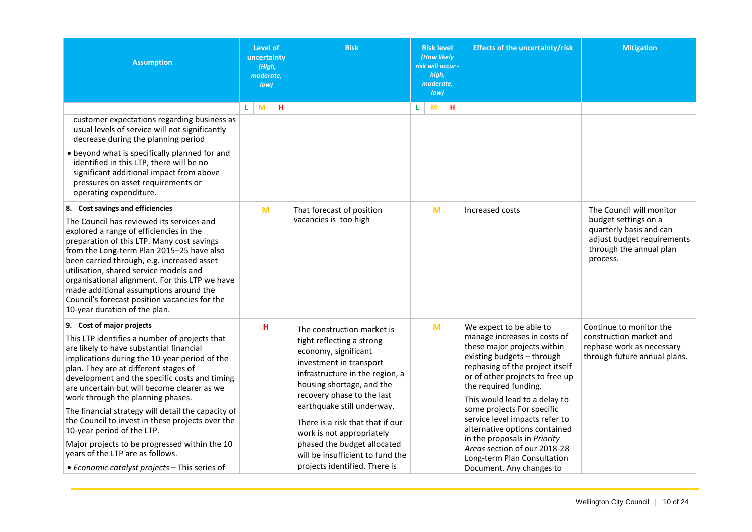<span id="page-10-0"></span>

| <b>Assumption</b>                                                                                                                                                                                                                                                                                                                                                                                                                                                                                                                                                                                                                   | <b>Level of</b><br>uncertainty<br>(High,<br>moderate,<br>low) | <b>Risk</b>                                                                                                                                                                                                                                                                                                                                                                                                 |    | <b>Risk level</b><br>(How likely<br>risk will occur -<br>high,<br>moderate,<br>low) |   | <b>Effects of the uncertainty/risk</b>                                                                                                                                                                                                                                                                                                                                                                                                                                           | <b>Mitigation</b>                                                                                                    |
|-------------------------------------------------------------------------------------------------------------------------------------------------------------------------------------------------------------------------------------------------------------------------------------------------------------------------------------------------------------------------------------------------------------------------------------------------------------------------------------------------------------------------------------------------------------------------------------------------------------------------------------|---------------------------------------------------------------|-------------------------------------------------------------------------------------------------------------------------------------------------------------------------------------------------------------------------------------------------------------------------------------------------------------------------------------------------------------------------------------------------------------|----|-------------------------------------------------------------------------------------|---|----------------------------------------------------------------------------------------------------------------------------------------------------------------------------------------------------------------------------------------------------------------------------------------------------------------------------------------------------------------------------------------------------------------------------------------------------------------------------------|----------------------------------------------------------------------------------------------------------------------|
| customer expectations regarding business as<br>usual levels of service will not significantly<br>decrease during the planning period<br>• beyond what is specifically planned for and<br>identified in this LTP, there will be no<br>significant additional impact from above<br>pressures on asset requirements or<br>operating expenditure.<br>8. Cost savings and efficiencies                                                                                                                                                                                                                                                   | M<br>L.<br>н<br>M                                             | That forecast of position                                                                                                                                                                                                                                                                                                                                                                                   | L. | M<br>M                                                                              | н | Increased costs                                                                                                                                                                                                                                                                                                                                                                                                                                                                  | The Council will monitor                                                                                             |
| The Council has reviewed its services and<br>explored a range of efficiencies in the<br>preparation of this LTP. Many cost savings<br>from the Long-term Plan 2015-25 have also<br>been carried through, e.g. increased asset<br>utilisation, shared service models and<br>organisational alignment. For this LTP we have<br>made additional assumptions around the<br>Council's forecast position vacancies for the<br>10-year duration of the plan.                                                                                                                                                                               |                                                               | vacancies is too high                                                                                                                                                                                                                                                                                                                                                                                       |    |                                                                                     |   |                                                                                                                                                                                                                                                                                                                                                                                                                                                                                  | budget settings on a<br>quarterly basis and can<br>adjust budget requirements<br>through the annual plan<br>process. |
| 9. Cost of major projects<br>This LTP identifies a number of projects that<br>are likely to have substantial financial<br>implications during the 10-year period of the<br>plan. They are at different stages of<br>development and the specific costs and timing<br>are uncertain but will become clearer as we<br>work through the planning phases.<br>The financial strategy will detail the capacity of<br>the Council to invest in these projects over the<br>10-year period of the LTP.<br>Major projects to be progressed within the 10<br>years of the LTP are as follows.<br>• Economic catalyst projects - This series of | н                                                             | The construction market is<br>tight reflecting a strong<br>economy, significant<br>investment in transport<br>infrastructure in the region, a<br>housing shortage, and the<br>recovery phase to the last<br>earthquake still underway.<br>There is a risk that that if our<br>work is not appropriately<br>phased the budget allocated<br>will be insufficient to fund the<br>projects identified. There is |    | M                                                                                   |   | We expect to be able to<br>manage increases in costs of<br>these major projects within<br>existing budgets - through<br>rephasing of the project itself<br>or of other projects to free up<br>the required funding.<br>This would lead to a delay to<br>some projects For specific<br>service level impacts refer to<br>alternative options contained<br>in the proposals in Priority<br>Areas section of our 2018-28<br>Long-term Plan Consultation<br>Document. Any changes to | Continue to monitor the<br>construction market and<br>rephase work as necessary<br>through future annual plans.      |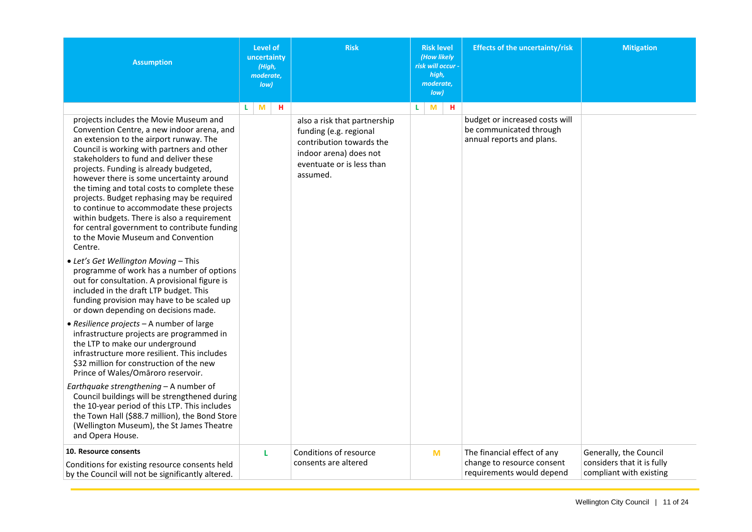<span id="page-11-0"></span>

| <b>Assumption</b>                                                                                                                                                                                                                                                                                                                                                                                                                                                                                                                                                                             | <b>Level of</b><br>uncertainty<br>(High,<br>moderate,<br>Iow | <b>Risk</b>                                                                                                                                           | <b>Risk level</b><br>(How likely<br>risk will occur -<br>high,<br>moderate,<br>low) | <b>Effects of the uncertainty/risk</b>                                                 | <b>Mitigation</b>                                                               |
|-----------------------------------------------------------------------------------------------------------------------------------------------------------------------------------------------------------------------------------------------------------------------------------------------------------------------------------------------------------------------------------------------------------------------------------------------------------------------------------------------------------------------------------------------------------------------------------------------|--------------------------------------------------------------|-------------------------------------------------------------------------------------------------------------------------------------------------------|-------------------------------------------------------------------------------------|----------------------------------------------------------------------------------------|---------------------------------------------------------------------------------|
| projects includes the Movie Museum and<br>Convention Centre, a new indoor arena, and<br>an extension to the airport runway. The<br>Council is working with partners and other<br>stakeholders to fund and deliver these<br>projects. Funding is already budgeted,<br>however there is some uncertainty around<br>the timing and total costs to complete these<br>projects. Budget rephasing may be required<br>to continue to accommodate these projects<br>within budgets. There is also a requirement<br>for central government to contribute funding<br>to the Movie Museum and Convention | M<br>н<br>L                                                  | also a risk that partnership<br>funding (e.g. regional<br>contribution towards the<br>indoor arena) does not<br>eventuate or is less than<br>assumed. | н<br>L<br>M                                                                         | budget or increased costs will<br>be communicated through<br>annual reports and plans. |                                                                                 |
| Centre.<br>• Let's Get Wellington Moving - This<br>programme of work has a number of options<br>out for consultation. A provisional figure is<br>included in the draft LTP budget. This<br>funding provision may have to be scaled up<br>or down depending on decisions made.                                                                                                                                                                                                                                                                                                                 |                                                              |                                                                                                                                                       |                                                                                     |                                                                                        |                                                                                 |
| • Resilience projects - A number of large<br>infrastructure projects are programmed in<br>the LTP to make our underground<br>infrastructure more resilient. This includes<br>\$32 million for construction of the new<br>Prince of Wales/Omāroro reservoir.                                                                                                                                                                                                                                                                                                                                   |                                                              |                                                                                                                                                       |                                                                                     |                                                                                        |                                                                                 |
| Earthquake strengthening - A number of<br>Council buildings will be strengthened during<br>the 10-year period of this LTP. This includes<br>the Town Hall (\$88.7 million), the Bond Store<br>(Wellington Museum), the St James Theatre<br>and Opera House.                                                                                                                                                                                                                                                                                                                                   |                                                              |                                                                                                                                                       |                                                                                     |                                                                                        |                                                                                 |
| 10. Resource consents<br>Conditions for existing resource consents held<br>by the Council will not be significantly altered.                                                                                                                                                                                                                                                                                                                                                                                                                                                                  | L                                                            | Conditions of resource<br>consents are altered                                                                                                        | M                                                                                   | The financial effect of any<br>change to resource consent<br>requirements would depend | Generally, the Council<br>considers that it is fully<br>compliant with existing |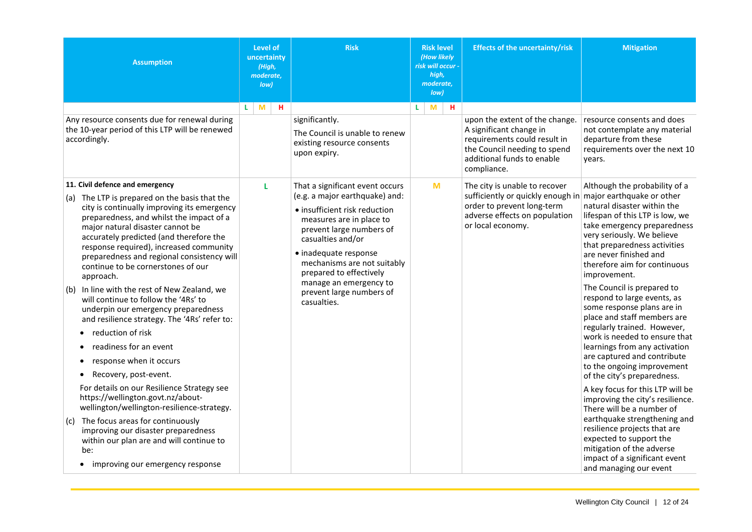<span id="page-12-0"></span>

| <b>Assumption</b>                                                                                                                                                                                                                                                                                                                                                                                                                                                                                                                                                                                                                                                                                                                                                                                                                                                                                                                                                            | <b>Level of</b><br>uncertainty<br>(High,<br>moderate,<br>low) | <b>Risk</b>                                                                                                                                                                                                                                                                                                                             | <b>Risk level</b><br>(How likely<br>risk will occur -<br>high,<br>moderate,<br>low) | <b>Effects of the uncertainty/risk</b>                                                                                                                                 | <b>Mitigation</b>                                                                                                                                                                                                                                                                                                                                                                                                                                                                                                                                                                                                                                                                                                                                                                                                                                       |
|------------------------------------------------------------------------------------------------------------------------------------------------------------------------------------------------------------------------------------------------------------------------------------------------------------------------------------------------------------------------------------------------------------------------------------------------------------------------------------------------------------------------------------------------------------------------------------------------------------------------------------------------------------------------------------------------------------------------------------------------------------------------------------------------------------------------------------------------------------------------------------------------------------------------------------------------------------------------------|---------------------------------------------------------------|-----------------------------------------------------------------------------------------------------------------------------------------------------------------------------------------------------------------------------------------------------------------------------------------------------------------------------------------|-------------------------------------------------------------------------------------|------------------------------------------------------------------------------------------------------------------------------------------------------------------------|---------------------------------------------------------------------------------------------------------------------------------------------------------------------------------------------------------------------------------------------------------------------------------------------------------------------------------------------------------------------------------------------------------------------------------------------------------------------------------------------------------------------------------------------------------------------------------------------------------------------------------------------------------------------------------------------------------------------------------------------------------------------------------------------------------------------------------------------------------|
| Any resource consents due for renewal during<br>the 10-year period of this LTP will be renewed<br>accordingly.                                                                                                                                                                                                                                                                                                                                                                                                                                                                                                                                                                                                                                                                                                                                                                                                                                                               | M<br>н<br>L                                                   | significantly.<br>The Council is unable to renew<br>existing resource consents<br>upon expiry.                                                                                                                                                                                                                                          | н.<br>M<br>L                                                                        | upon the extent of the change.<br>A significant change in<br>requirements could result in<br>the Council needing to spend<br>additional funds to enable<br>compliance. | resource consents and does<br>not contemplate any material<br>departure from these<br>requirements over the next 10<br>years.                                                                                                                                                                                                                                                                                                                                                                                                                                                                                                                                                                                                                                                                                                                           |
| 11. Civil defence and emergency<br>(a) The LTP is prepared on the basis that the<br>city is continually improving its emergency<br>preparedness, and whilst the impact of a<br>major natural disaster cannot be<br>accurately predicted (and therefore the<br>response required), increased community<br>preparedness and regional consistency will<br>continue to be cornerstones of our<br>approach.<br>$(b)$ In line with the rest of New Zealand, we<br>will continue to follow the '4Rs' to<br>underpin our emergency preparedness<br>and resilience strategy. The '4Rs' refer to:<br>reduction of risk<br>readiness for an event<br>response when it occurs<br>Recovery, post-event.<br>$\bullet$<br>For details on our Resilience Strategy see<br>https://wellington.govt.nz/about-<br>wellington/wellington-resilience-strategy.<br>$(c)$ The focus areas for continuously<br>improving our disaster preparedness<br>within our plan are and will continue to<br>be: | L                                                             | That a significant event occurs<br>(e.g. a major earthquake) and:<br>· insufficient risk reduction<br>measures are in place to<br>prevent large numbers of<br>casualties and/or<br>· inadequate response<br>mechanisms are not suitably<br>prepared to effectively<br>manage an emergency to<br>prevent large numbers of<br>casualties. | $\mathbf{M}$                                                                        | The city is unable to recover<br>sufficiently or quickly enough in<br>order to prevent long-term<br>adverse effects on population<br>or local economy.                 | Although the probability of a<br>major earthquake or other<br>natural disaster within the<br>lifespan of this LTP is low, we<br>take emergency preparedness<br>very seriously. We believe<br>that preparedness activities<br>are never finished and<br>therefore aim for continuous<br>improvement.<br>The Council is prepared to<br>respond to large events, as<br>some response plans are in<br>place and staff members are<br>regularly trained. However,<br>work is needed to ensure that<br>learnings from any activation<br>are captured and contribute<br>to the ongoing improvement<br>of the city's preparedness.<br>A key focus for this LTP will be<br>improving the city's resilience.<br>There will be a number of<br>earthquake strengthening and<br>resilience projects that are<br>expected to support the<br>mitigation of the adverse |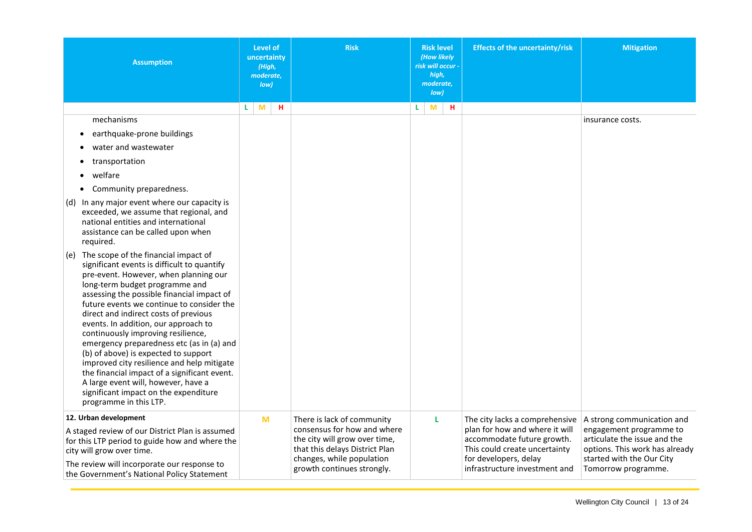<span id="page-13-0"></span>

| <b>Assumption</b>                                                                                                                                                                                                                                                                                                                                                                                                                                                                                                                                                                                                                                                                    | <b>Level of</b><br>uncertainty<br>(High,<br>moderate,<br>low) | <b>Risk</b>                                                                                                                                                                             | <b>Risk level</b><br>(How likely<br>risk will occur -<br>high,<br>moderate,<br>low) | <b>Effects of the uncertainty/risk</b>                                                                                                                                                    | <b>Mitigation</b>                                                                                                                                                           |
|--------------------------------------------------------------------------------------------------------------------------------------------------------------------------------------------------------------------------------------------------------------------------------------------------------------------------------------------------------------------------------------------------------------------------------------------------------------------------------------------------------------------------------------------------------------------------------------------------------------------------------------------------------------------------------------|---------------------------------------------------------------|-----------------------------------------------------------------------------------------------------------------------------------------------------------------------------------------|-------------------------------------------------------------------------------------|-------------------------------------------------------------------------------------------------------------------------------------------------------------------------------------------|-----------------------------------------------------------------------------------------------------------------------------------------------------------------------------|
|                                                                                                                                                                                                                                                                                                                                                                                                                                                                                                                                                                                                                                                                                      | н<br>M<br>L.                                                  |                                                                                                                                                                                         | н<br>L.<br>M                                                                        |                                                                                                                                                                                           |                                                                                                                                                                             |
| mechanisms                                                                                                                                                                                                                                                                                                                                                                                                                                                                                                                                                                                                                                                                           |                                                               |                                                                                                                                                                                         |                                                                                     |                                                                                                                                                                                           | insurance costs.                                                                                                                                                            |
| earthquake-prone buildings                                                                                                                                                                                                                                                                                                                                                                                                                                                                                                                                                                                                                                                           |                                                               |                                                                                                                                                                                         |                                                                                     |                                                                                                                                                                                           |                                                                                                                                                                             |
| water and wastewater                                                                                                                                                                                                                                                                                                                                                                                                                                                                                                                                                                                                                                                                 |                                                               |                                                                                                                                                                                         |                                                                                     |                                                                                                                                                                                           |                                                                                                                                                                             |
| transportation                                                                                                                                                                                                                                                                                                                                                                                                                                                                                                                                                                                                                                                                       |                                                               |                                                                                                                                                                                         |                                                                                     |                                                                                                                                                                                           |                                                                                                                                                                             |
| welfare                                                                                                                                                                                                                                                                                                                                                                                                                                                                                                                                                                                                                                                                              |                                                               |                                                                                                                                                                                         |                                                                                     |                                                                                                                                                                                           |                                                                                                                                                                             |
| Community preparedness.<br>$\bullet$                                                                                                                                                                                                                                                                                                                                                                                                                                                                                                                                                                                                                                                 |                                                               |                                                                                                                                                                                         |                                                                                     |                                                                                                                                                                                           |                                                                                                                                                                             |
| (d) In any major event where our capacity is<br>exceeded, we assume that regional, and<br>national entities and international<br>assistance can be called upon when<br>required.                                                                                                                                                                                                                                                                                                                                                                                                                                                                                                     |                                                               |                                                                                                                                                                                         |                                                                                     |                                                                                                                                                                                           |                                                                                                                                                                             |
| The scope of the financial impact of<br>(e)<br>significant events is difficult to quantify<br>pre-event. However, when planning our<br>long-term budget programme and<br>assessing the possible financial impact of<br>future events we continue to consider the<br>direct and indirect costs of previous<br>events. In addition, our approach to<br>continuously improving resilience,<br>emergency preparedness etc (as in (a) and<br>(b) of above) is expected to support<br>improved city resilience and help mitigate<br>the financial impact of a significant event.<br>A large event will, however, have a<br>significant impact on the expenditure<br>programme in this LTP. |                                                               |                                                                                                                                                                                         |                                                                                     |                                                                                                                                                                                           |                                                                                                                                                                             |
| 12. Urban development<br>A staged review of our District Plan is assumed<br>for this LTP period to guide how and where the<br>city will grow over time.<br>The review will incorporate our response to<br>the Government's National Policy Statement                                                                                                                                                                                                                                                                                                                                                                                                                                 | M                                                             | There is lack of community<br>consensus for how and where<br>the city will grow over time,<br>that this delays District Plan<br>changes, while population<br>growth continues strongly. | L                                                                                   | The city lacks a comprehensive<br>plan for how and where it will<br>accommodate future growth.<br>This could create uncertainty<br>for developers, delay<br>infrastructure investment and | A strong communication and<br>engagement programme to<br>articulate the issue and the<br>options. This work has already<br>started with the Our City<br>Tomorrow programme. |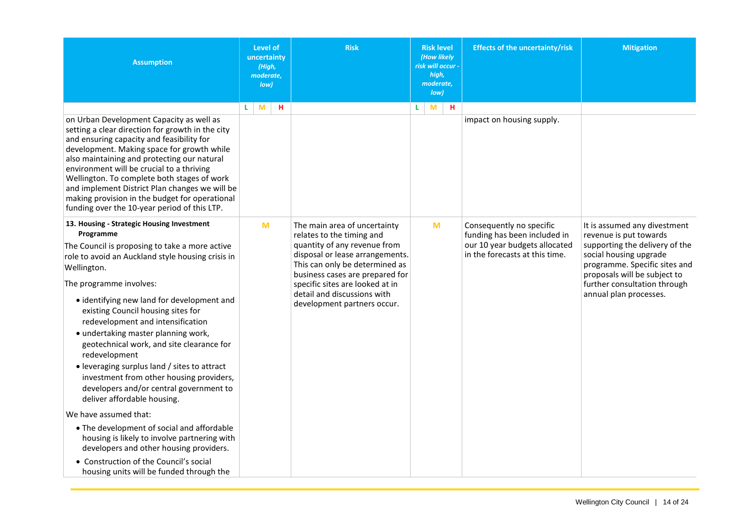| <b>Assumption</b>                                                                                                                                                                                                                                                                                                                                                                                                                                                                                                                                                                                                                                                                                                                                                                                                                                                    | Level of<br>uncertainty<br>(High,<br>moderate,<br>low) | <b>Risk</b>                                                                                                                                                                                                                                                                                        | <b>Risk level</b><br><b>(How likely</b><br>risk will occur -<br>high,<br>moderate,<br>low) | <b>Effects of the uncertainty/risk</b>                                                                                      | <b>Mitigation</b>                                                                                                                                                                                                                             |
|----------------------------------------------------------------------------------------------------------------------------------------------------------------------------------------------------------------------------------------------------------------------------------------------------------------------------------------------------------------------------------------------------------------------------------------------------------------------------------------------------------------------------------------------------------------------------------------------------------------------------------------------------------------------------------------------------------------------------------------------------------------------------------------------------------------------------------------------------------------------|--------------------------------------------------------|----------------------------------------------------------------------------------------------------------------------------------------------------------------------------------------------------------------------------------------------------------------------------------------------------|--------------------------------------------------------------------------------------------|-----------------------------------------------------------------------------------------------------------------------------|-----------------------------------------------------------------------------------------------------------------------------------------------------------------------------------------------------------------------------------------------|
| on Urban Development Capacity as well as<br>setting a clear direction for growth in the city<br>and ensuring capacity and feasibility for<br>development. Making space for growth while<br>also maintaining and protecting our natural<br>environment will be crucial to a thriving<br>Wellington. To complete both stages of work<br>and implement District Plan changes we will be<br>making provision in the budget for operational<br>funding over the 10-year period of this LTP.                                                                                                                                                                                                                                                                                                                                                                               | M<br>L<br>н                                            |                                                                                                                                                                                                                                                                                                    | н.<br>M<br>L                                                                               | impact on housing supply.                                                                                                   |                                                                                                                                                                                                                                               |
| 13. Housing - Strategic Housing Investment<br>Programme<br>The Council is proposing to take a more active<br>role to avoid an Auckland style housing crisis in<br>Wellington.<br>The programme involves:<br>• identifying new land for development and<br>existing Council housing sites for<br>redevelopment and intensification<br>• undertaking master planning work,<br>geotechnical work, and site clearance for<br>redevelopment<br>• leveraging surplus land / sites to attract<br>investment from other housing providers,<br>developers and/or central government to<br>deliver affordable housing.<br>We have assumed that:<br>• The development of social and affordable<br>housing is likely to involve partnering with<br>developers and other housing providers.<br>• Construction of the Council's social<br>housing units will be funded through the | M                                                      | The main area of uncertainty<br>relates to the timing and<br>quantity of any revenue from<br>disposal or lease arrangements.<br>This can only be determined as<br>business cases are prepared for<br>specific sites are looked at in<br>detail and discussions with<br>development partners occur. | M                                                                                          | Consequently no specific<br>funding has been included in<br>our 10 year budgets allocated<br>in the forecasts at this time. | It is assumed any divestment<br>revenue is put towards<br>supporting the delivery of the<br>social housing upgrade<br>programme. Specific sites and<br>proposals will be subject to<br>further consultation through<br>annual plan processes. |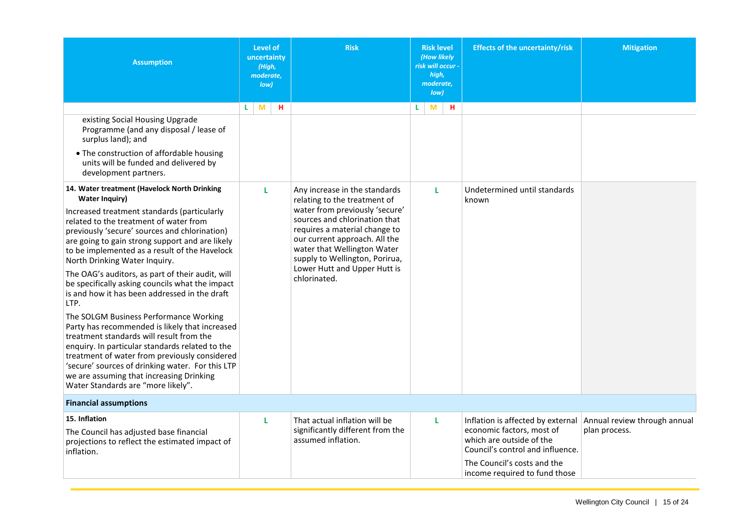<span id="page-15-1"></span><span id="page-15-0"></span>

| <b>Assumption</b>                                                                                                                                                                                                                                                                                                                                                                                                                                                                                                                       | Level of<br>uncertainty<br>(High,<br>moderate,<br>low) | <b>Risk</b>                                                                                                                                                                                                                                        | <b>Risk level</b><br>(How likely<br>risk will occur -<br>high,<br>moderate,<br>low) | <b>Effects of the uncertainty/risk</b>                                                    | <b>Mitigation</b>            |
|-----------------------------------------------------------------------------------------------------------------------------------------------------------------------------------------------------------------------------------------------------------------------------------------------------------------------------------------------------------------------------------------------------------------------------------------------------------------------------------------------------------------------------------------|--------------------------------------------------------|----------------------------------------------------------------------------------------------------------------------------------------------------------------------------------------------------------------------------------------------------|-------------------------------------------------------------------------------------|-------------------------------------------------------------------------------------------|------------------------------|
|                                                                                                                                                                                                                                                                                                                                                                                                                                                                                                                                         | M<br>н<br>L.                                           |                                                                                                                                                                                                                                                    | н<br>M<br>L.                                                                        |                                                                                           |                              |
| existing Social Housing Upgrade<br>Programme (and any disposal / lease of<br>surplus land); and                                                                                                                                                                                                                                                                                                                                                                                                                                         |                                                        |                                                                                                                                                                                                                                                    |                                                                                     |                                                                                           |                              |
| • The construction of affordable housing<br>units will be funded and delivered by<br>development partners.                                                                                                                                                                                                                                                                                                                                                                                                                              |                                                        |                                                                                                                                                                                                                                                    |                                                                                     |                                                                                           |                              |
| 14. Water treatment (Havelock North Drinking<br><b>Water Inquiry)</b>                                                                                                                                                                                                                                                                                                                                                                                                                                                                   | L                                                      | Any increase in the standards<br>relating to the treatment of                                                                                                                                                                                      | L                                                                                   | Undetermined until standards<br>known                                                     |                              |
| Increased treatment standards (particularly<br>related to the treatment of water from<br>previously 'secure' sources and chlorination)<br>are going to gain strong support and are likely<br>to be implemented as a result of the Havelock<br>North Drinking Water Inquiry.<br>The OAG's auditors, as part of their audit, will<br>be specifically asking councils what the impact<br>is and how it has been addressed in the draft<br>LTP.<br>The SOLGM Business Performance Working<br>Party has recommended is likely that increased |                                                        | water from previously 'secure'<br>sources and chlorination that<br>requires a material change to<br>our current approach. All the<br>water that Wellington Water<br>supply to Wellington, Porirua,<br>Lower Hutt and Upper Hutt is<br>chlorinated. |                                                                                     |                                                                                           |                              |
| treatment standards will result from the<br>enquiry. In particular standards related to the<br>treatment of water from previously considered<br>'secure' sources of drinking water. For this LTP<br>we are assuming that increasing Drinking<br>Water Standards are "more likely".                                                                                                                                                                                                                                                      |                                                        |                                                                                                                                                                                                                                                    |                                                                                     |                                                                                           |                              |
| <b>Financial assumptions</b>                                                                                                                                                                                                                                                                                                                                                                                                                                                                                                            |                                                        |                                                                                                                                                                                                                                                    |                                                                                     |                                                                                           |                              |
| 15. Inflation                                                                                                                                                                                                                                                                                                                                                                                                                                                                                                                           | L                                                      | That actual inflation will be                                                                                                                                                                                                                      | L                                                                                   | Inflation is affected by external                                                         | Annual review through annual |
| The Council has adjusted base financial<br>projections to reflect the estimated impact of<br>inflation.                                                                                                                                                                                                                                                                                                                                                                                                                                 |                                                        | significantly different from the<br>assumed inflation.                                                                                                                                                                                             |                                                                                     | economic factors, most of<br>which are outside of the<br>Council's control and influence. | plan process.                |
|                                                                                                                                                                                                                                                                                                                                                                                                                                                                                                                                         |                                                        |                                                                                                                                                                                                                                                    |                                                                                     | The Council's costs and the<br>income required to fund those                              |                              |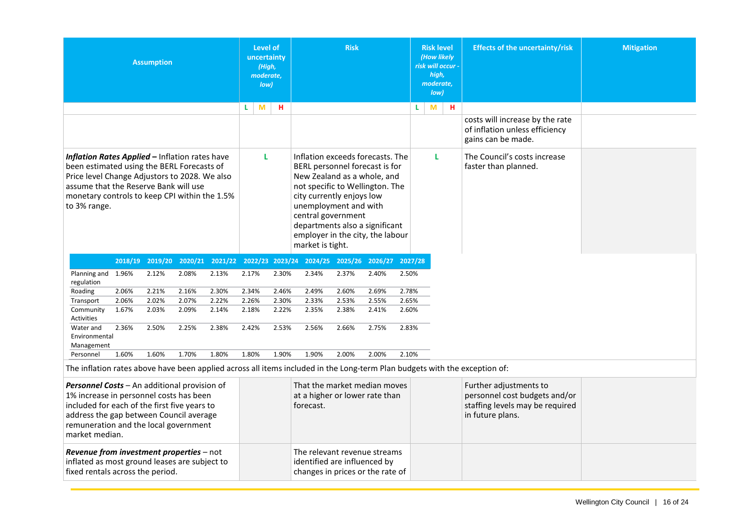|                                                                                                                                                                                                                                                         |       | <b>Assumption</b> |       |       | <b>Level of</b><br>uncertainty<br>(High,<br>moderate,<br>low) |       |                                                                                                                                                                                                                                                                                                            | <b>Risk</b> |       |       |   | <b>Risk level</b><br>(How likely<br>risk will occur -<br>high,<br>moderate,<br>low) |   | <b>Effects of the uncertainty/risk</b>                                                                                     | <b>Mitigation</b> |
|---------------------------------------------------------------------------------------------------------------------------------------------------------------------------------------------------------------------------------------------------------|-------|-------------------|-------|-------|---------------------------------------------------------------|-------|------------------------------------------------------------------------------------------------------------------------------------------------------------------------------------------------------------------------------------------------------------------------------------------------------------|-------------|-------|-------|---|-------------------------------------------------------------------------------------|---|----------------------------------------------------------------------------------------------------------------------------|-------------------|
|                                                                                                                                                                                                                                                         |       |                   |       |       | M<br>L.                                                       | н     |                                                                                                                                                                                                                                                                                                            |             |       |       | L | M                                                                                   | н |                                                                                                                            |                   |
|                                                                                                                                                                                                                                                         |       |                   |       |       |                                                               |       |                                                                                                                                                                                                                                                                                                            |             |       |       |   |                                                                                     |   | costs will increase by the rate<br>of inflation unless efficiency<br>gains can be made.                                    |                   |
| Inflation Rates Applied - Inflation rates have<br>been estimated using the BERL Forecasts of<br>Price level Change Adjustors to 2028. We also<br>assume that the Reserve Bank will use<br>monetary controls to keep CPI within the 1.5%<br>to 3% range. |       |                   |       |       | L                                                             |       | Inflation exceeds forecasts. The<br>BERL personnel forecast is for<br>New Zealand as a whole, and<br>not specific to Wellington. The<br>city currently enjoys low<br>unemployment and with<br>central government<br>departments also a significant<br>employer in the city, the labour<br>market is tight. |             |       |       |   | L                                                                                   |   | The Council's costs increase<br>faster than planned.                                                                       |                   |
|                                                                                                                                                                                                                                                         |       |                   |       |       |                                                               |       | 2018/19 2019/20 2020/21 2021/22 2022/23 2023/24 2024/25 2025/26 2026/27 2027/28                                                                                                                                                                                                                            |             |       |       |   |                                                                                     |   |                                                                                                                            |                   |
| Planning and 1.96%<br>regulation                                                                                                                                                                                                                        |       | 2.12%             | 2.08% | 2.13% | 2.17%                                                         | 2.30% | 2.34%                                                                                                                                                                                                                                                                                                      | 2.37%       | 2.40% | 2.50% |   |                                                                                     |   |                                                                                                                            |                   |
| Roading                                                                                                                                                                                                                                                 | 2.06% | 2.21%             | 2.16% | 2.30% | 2.34%                                                         | 2.46% | 2.49%                                                                                                                                                                                                                                                                                                      | 2.60%       | 2.69% | 2.78% |   |                                                                                     |   |                                                                                                                            |                   |
| Transport                                                                                                                                                                                                                                               | 2.06% | 2.02%             | 2.07% | 2.22% | 2.26%                                                         | 2.30% | 2.33%                                                                                                                                                                                                                                                                                                      | 2.53%       | 2.55% | 2.65% |   |                                                                                     |   |                                                                                                                            |                   |
| Community<br>Activities                                                                                                                                                                                                                                 | 1.67% | 2.03%             | 2.09% | 2.14% | 2.18%                                                         | 2.22% | 2.35%                                                                                                                                                                                                                                                                                                      | 2.38%       | 2.41% | 2.60% |   |                                                                                     |   |                                                                                                                            |                   |
| Water and<br>Environmental<br>Management                                                                                                                                                                                                                | 2.36% | 2.50%             | 2.25% | 2.38% | 2.42%                                                         | 2.53% | 2.56%                                                                                                                                                                                                                                                                                                      | 2.66%       | 2.75% | 2.83% |   |                                                                                     |   |                                                                                                                            |                   |
| Personnel                                                                                                                                                                                                                                               | 1.60% | 1.60%             | 1.70% | 1.80% | 1.80%                                                         | 1.90% | 1.90%                                                                                                                                                                                                                                                                                                      | 2.00%       | 2.00% | 2.10% |   |                                                                                     |   |                                                                                                                            |                   |
|                                                                                                                                                                                                                                                         |       |                   |       |       |                                                               |       |                                                                                                                                                                                                                                                                                                            |             |       |       |   |                                                                                     |   | The inflation rates above have been applied across all items included in the Long-term Plan budgets with the exception of: |                   |
| Personnel Costs - An additional provision of<br>1% increase in personnel costs has been<br>included for each of the first five years to<br>address the gap between Council average<br>remuneration and the local government<br>market median.           |       |                   |       |       |                                                               |       | That the market median moves<br>at a higher or lower rate than<br>forecast.                                                                                                                                                                                                                                |             |       |       |   |                                                                                     |   | Further adjustments to<br>personnel cost budgets and/or<br>staffing levels may be required<br>in future plans.             |                   |
| Revenue from investment properties - not<br>inflated as most ground leases are subject to<br>fixed rentals across the period.                                                                                                                           |       |                   |       |       |                                                               |       | The relevant revenue streams<br>identified are influenced by<br>changes in prices or the rate of                                                                                                                                                                                                           |             |       |       |   |                                                                                     |   |                                                                                                                            |                   |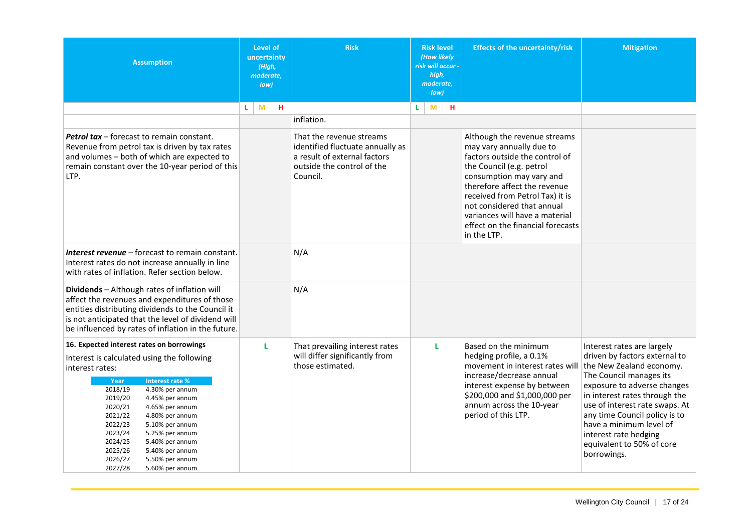<span id="page-17-0"></span>

| <b>Assumption</b>                                                                                                                                                                                                                                                                                                                                                                                    | <b>Level of</b><br>uncertainty<br>(High,<br>moderate,<br>low) | <b>Risk</b>                                                                                                                            | <b>Risk level</b><br>(How likely<br>risk will occur -<br>high,<br>moderate,<br>Iow | <b>Effects of the uncertainty/risk</b>                                                                                                                                                                                                                                                                                                    | <b>Mitigation</b>                                                                                                                                                                                                                                                                                                       |
|------------------------------------------------------------------------------------------------------------------------------------------------------------------------------------------------------------------------------------------------------------------------------------------------------------------------------------------------------------------------------------------------------|---------------------------------------------------------------|----------------------------------------------------------------------------------------------------------------------------------------|------------------------------------------------------------------------------------|-------------------------------------------------------------------------------------------------------------------------------------------------------------------------------------------------------------------------------------------------------------------------------------------------------------------------------------------|-------------------------------------------------------------------------------------------------------------------------------------------------------------------------------------------------------------------------------------------------------------------------------------------------------------------------|
|                                                                                                                                                                                                                                                                                                                                                                                                      | M<br>н<br>L.                                                  |                                                                                                                                        | M<br>н<br>L.                                                                       |                                                                                                                                                                                                                                                                                                                                           |                                                                                                                                                                                                                                                                                                                         |
|                                                                                                                                                                                                                                                                                                                                                                                                      |                                                               | inflation.                                                                                                                             |                                                                                    |                                                                                                                                                                                                                                                                                                                                           |                                                                                                                                                                                                                                                                                                                         |
| Petrol tax - forecast to remain constant.<br>Revenue from petrol tax is driven by tax rates<br>and volumes - both of which are expected to<br>remain constant over the 10-year period of this<br>LTP.                                                                                                                                                                                                |                                                               | That the revenue streams<br>identified fluctuate annually as<br>a result of external factors<br>outside the control of the<br>Council. |                                                                                    | Although the revenue streams<br>may vary annually due to<br>factors outside the control of<br>the Council (e.g. petrol<br>consumption may vary and<br>therefore affect the revenue<br>received from Petrol Tax) it is<br>not considered that annual<br>variances will have a material<br>effect on the financial forecasts<br>in the LTP. |                                                                                                                                                                                                                                                                                                                         |
| Interest revenue - forecast to remain constant.<br>Interest rates do not increase annually in line<br>with rates of inflation. Refer section below.                                                                                                                                                                                                                                                  |                                                               | N/A                                                                                                                                    |                                                                                    |                                                                                                                                                                                                                                                                                                                                           |                                                                                                                                                                                                                                                                                                                         |
| Dividends - Although rates of inflation will<br>affect the revenues and expenditures of those<br>entities distributing dividends to the Council it<br>is not anticipated that the level of dividend will<br>be influenced by rates of inflation in the future.                                                                                                                                       |                                                               | N/A                                                                                                                                    |                                                                                    |                                                                                                                                                                                                                                                                                                                                           |                                                                                                                                                                                                                                                                                                                         |
| 16. Expected interest rates on borrowings                                                                                                                                                                                                                                                                                                                                                            | L                                                             | That prevailing interest rates                                                                                                         | L                                                                                  | Based on the minimum                                                                                                                                                                                                                                                                                                                      | Interest rates are largely                                                                                                                                                                                                                                                                                              |
| Interest is calculated using the following<br>interest rates:<br>Interest rate %<br>Year<br>2018/19<br>4.30% per annum<br>2019/20<br>4.45% per annum<br>2020/21<br>4.65% per annum<br>2021/22<br>4.80% per annum<br>2022/23<br>5.10% per annum<br>2023/24<br>5.25% per annum<br>2024/25<br>5.40% per annum<br>2025/26<br>5.40% per annum<br>2026/27<br>5.50% per annum<br>2027/28<br>5.60% per annum |                                                               | will differ significantly from<br>those estimated.                                                                                     |                                                                                    | hedging profile, a 0.1%<br>movement in interest rates will<br>increase/decrease annual<br>interest expense by between<br>\$200,000 and \$1,000,000 per<br>annum across the 10-year<br>period of this LTP.                                                                                                                                 | driven by factors external to<br>the New Zealand economy.<br>The Council manages its<br>exposure to adverse changes<br>in interest rates through the<br>use of interest rate swaps. At<br>any time Council policy is to<br>have a minimum level of<br>interest rate hedging<br>equivalent to 50% of core<br>borrowings. |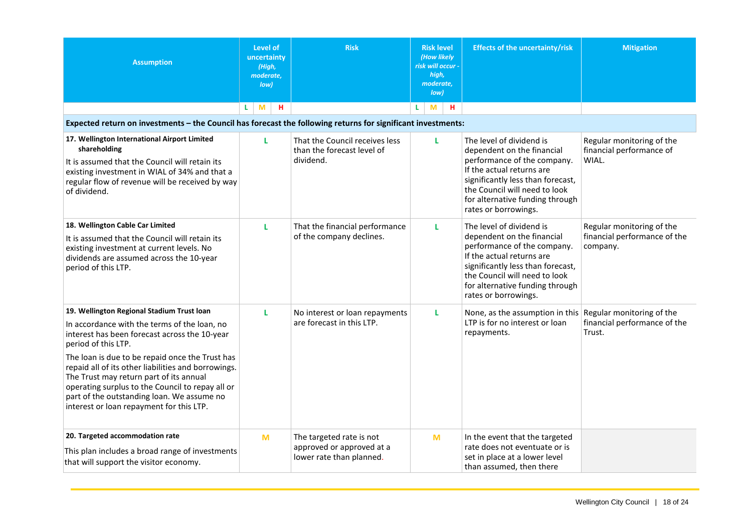<span id="page-18-2"></span><span id="page-18-1"></span><span id="page-18-0"></span>

| <b>Assumption</b>                                                                                                                                                                                                                                                                                                                                                                                                       | <b>Level of</b><br>uncertainty<br>(High,<br>moderate,<br>low) | <b>Risk</b>                                                                       | <b>Risk level</b><br>(How likely<br>risk will occur -<br>high,<br>moderate,<br>low) |    |   | <b>Effects of the uncertainty/risk</b>                                                                                                                                                                                                              | <b>Mitigation</b>                                              |  |  |
|-------------------------------------------------------------------------------------------------------------------------------------------------------------------------------------------------------------------------------------------------------------------------------------------------------------------------------------------------------------------------------------------------------------------------|---------------------------------------------------------------|-----------------------------------------------------------------------------------|-------------------------------------------------------------------------------------|----|---|-----------------------------------------------------------------------------------------------------------------------------------------------------------------------------------------------------------------------------------------------------|----------------------------------------------------------------|--|--|
|                                                                                                                                                                                                                                                                                                                                                                                                                         | н<br>M<br>L                                                   |                                                                                   | L.                                                                                  | M  | н |                                                                                                                                                                                                                                                     |                                                                |  |  |
| Expected return on investments - the Council has forecast the following returns for significant investments:                                                                                                                                                                                                                                                                                                            |                                                               |                                                                                   |                                                                                     |    |   |                                                                                                                                                                                                                                                     |                                                                |  |  |
| 17. Wellington International Airport Limited<br>shareholding<br>It is assumed that the Council will retain its<br>existing investment in WIAL of 34% and that a<br>regular flow of revenue will be received by way<br>of dividend.                                                                                                                                                                                      | L                                                             | That the Council receives less<br>than the forecast level of<br>dividend.         |                                                                                     | L. |   | The level of dividend is<br>dependent on the financial<br>performance of the company.<br>If the actual returns are<br>significantly less than forecast,<br>the Council will need to look<br>for alternative funding through<br>rates or borrowings. | Regular monitoring of the<br>financial performance of<br>WIAL. |  |  |
| 18. Wellington Cable Car Limited                                                                                                                                                                                                                                                                                                                                                                                        | L                                                             | That the financial performance                                                    |                                                                                     | L. |   | The level of dividend is                                                                                                                                                                                                                            | Regular monitoring of the                                      |  |  |
| It is assumed that the Council will retain its<br>existing investment at current levels. No<br>dividends are assumed across the 10-year<br>period of this LTP.                                                                                                                                                                                                                                                          |                                                               | of the company declines.                                                          |                                                                                     |    |   | dependent on the financial<br>performance of the company.<br>If the actual returns are<br>significantly less than forecast,<br>the Council will need to look<br>for alternative funding through<br>rates or borrowings.                             | financial performance of the<br>company.                       |  |  |
| 19. Wellington Regional Stadium Trust loan                                                                                                                                                                                                                                                                                                                                                                              | г                                                             | No interest or loan repayments                                                    |                                                                                     | L  |   | None, as the assumption in this Regular monitoring of the                                                                                                                                                                                           |                                                                |  |  |
| In accordance with the terms of the loan, no<br>interest has been forecast across the 10-year<br>period of this LTP.<br>The loan is due to be repaid once the Trust has<br>repaid all of its other liabilities and borrowings.<br>The Trust may return part of its annual<br>operating surplus to the Council to repay all or<br>part of the outstanding loan. We assume no<br>interest or loan repayment for this LTP. |                                                               | are forecast in this LTP.                                                         |                                                                                     |    |   | LTP is for no interest or loan<br>repayments.                                                                                                                                                                                                       | financial performance of the<br>Trust.                         |  |  |
| 20. Targeted accommodation rate<br>This plan includes a broad range of investments<br>that will support the visitor economy.                                                                                                                                                                                                                                                                                            | M                                                             | The targeted rate is not<br>approved or approved at a<br>lower rate than planned. |                                                                                     | M  |   | In the event that the targeted<br>rate does not eventuate or is<br>set in place at a lower level<br>than assumed, then there                                                                                                                        |                                                                |  |  |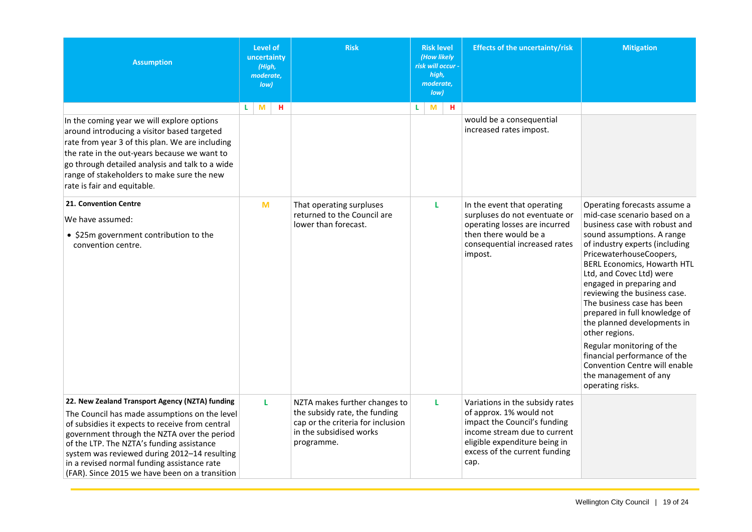<span id="page-19-1"></span><span id="page-19-0"></span>

| <b>Assumption</b>                                                                                                                                                                                                                                                                                                                                                                                | Level of<br>uncertainty<br>(High,<br>moderate,<br>low) | <b>Risk</b>                                                                                                                                  | <b>Risk level</b><br>(How likely<br>risk will occur -<br>high,<br>moderate,<br>low) | <b>Effects of the uncertainty/risk</b>                                                                                                                                                               | <b>Mitigation</b>                                                                                                                                                                                                                                                                                                                                                                                                                                                                                                                                                                 |
|--------------------------------------------------------------------------------------------------------------------------------------------------------------------------------------------------------------------------------------------------------------------------------------------------------------------------------------------------------------------------------------------------|--------------------------------------------------------|----------------------------------------------------------------------------------------------------------------------------------------------|-------------------------------------------------------------------------------------|------------------------------------------------------------------------------------------------------------------------------------------------------------------------------------------------------|-----------------------------------------------------------------------------------------------------------------------------------------------------------------------------------------------------------------------------------------------------------------------------------------------------------------------------------------------------------------------------------------------------------------------------------------------------------------------------------------------------------------------------------------------------------------------------------|
| In the coming year we will explore options<br>around introducing a visitor based targeted<br>rate from year 3 of this plan. We are including<br>the rate in the out-years because we want to<br>go through detailed analysis and talk to a wide<br>range of stakeholders to make sure the new<br>rate is fair and equitable.                                                                     | н<br>M<br>L.                                           |                                                                                                                                              | н<br>L.<br>M                                                                        | would be a consequential<br>increased rates impost.                                                                                                                                                  |                                                                                                                                                                                                                                                                                                                                                                                                                                                                                                                                                                                   |
| 21. Convention Centre<br>We have assumed:<br>• \$25m government contribution to the<br>convention centre.                                                                                                                                                                                                                                                                                        | M                                                      | That operating surpluses<br>returned to the Council are<br>lower than forecast.                                                              | L                                                                                   | In the event that operating<br>surpluses do not eventuate or<br>operating losses are incurred<br>then there would be a<br>consequential increased rates<br>impost.                                   | Operating forecasts assume a<br>mid-case scenario based on a<br>business case with robust and<br>sound assumptions. A range<br>of industry experts (including<br>PricewaterhouseCoopers,<br><b>BERL Economics, Howarth HTL</b><br>Ltd, and Covec Ltd) were<br>engaged in preparing and<br>reviewing the business case.<br>The business case has been<br>prepared in full knowledge of<br>the planned developments in<br>other regions.<br>Regular monitoring of the<br>financial performance of the<br>Convention Centre will enable<br>the management of any<br>operating risks. |
| 22. New Zealand Transport Agency (NZTA) funding<br>The Council has made assumptions on the level<br>of subsidies it expects to receive from central<br>government through the NZTA over the period<br>of the LTP. The NZTA's funding assistance<br>system was reviewed during 2012-14 resulting<br>in a revised normal funding assistance rate<br>(FAR). Since 2015 we have been on a transition | L                                                      | NZTA makes further changes to<br>the subsidy rate, the funding<br>cap or the criteria for inclusion<br>in the subsidised works<br>programme. | L                                                                                   | Variations in the subsidy rates<br>of approx. 1% would not<br>impact the Council's funding<br>income stream due to current<br>eligible expenditure being in<br>excess of the current funding<br>cap. |                                                                                                                                                                                                                                                                                                                                                                                                                                                                                                                                                                                   |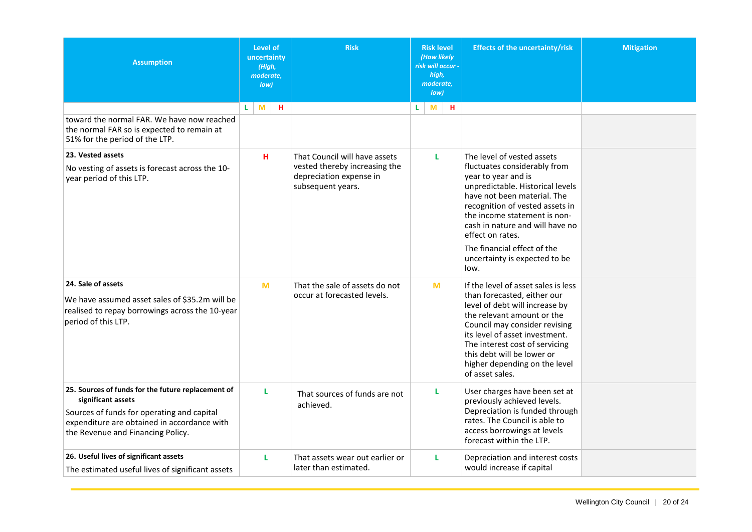<span id="page-20-3"></span><span id="page-20-2"></span><span id="page-20-1"></span><span id="page-20-0"></span>

| <b>Assumption</b>                                                                                                                                                                                          | Level of<br>uncertainty<br>(High,<br>moderate,<br>low) | <b>Risk</b>                                                                   | <b>Risk level</b><br>(How likely<br>risk will occur -<br>high,<br>moderate,<br>low) | <b>Effects of the uncertainty/risk</b>                                                                                                                                                                                                                                                                                    | <b>Mitigation</b> |
|------------------------------------------------------------------------------------------------------------------------------------------------------------------------------------------------------------|--------------------------------------------------------|-------------------------------------------------------------------------------|-------------------------------------------------------------------------------------|---------------------------------------------------------------------------------------------------------------------------------------------------------------------------------------------------------------------------------------------------------------------------------------------------------------------------|-------------------|
|                                                                                                                                                                                                            | н<br>M<br>L.                                           |                                                                               | н<br>L.<br>M                                                                        |                                                                                                                                                                                                                                                                                                                           |                   |
| toward the normal FAR. We have now reached<br>the normal FAR so is expected to remain at<br>51% for the period of the LTP.                                                                                 |                                                        |                                                                               |                                                                                     |                                                                                                                                                                                                                                                                                                                           |                   |
| 23. Vested assets                                                                                                                                                                                          | H                                                      | That Council will have assets                                                 | L                                                                                   | The level of vested assets                                                                                                                                                                                                                                                                                                |                   |
| No vesting of assets is forecast across the 10-<br>year period of this LTP.                                                                                                                                |                                                        | vested thereby increasing the<br>depreciation expense in<br>subsequent years. |                                                                                     | fluctuates considerably from<br>year to year and is<br>unpredictable. Historical levels<br>have not been material. The<br>recognition of vested assets in<br>the income statement is non-<br>cash in nature and will have no<br>effect on rates.<br>The financial effect of the<br>uncertainty is expected to be<br>low.  |                   |
|                                                                                                                                                                                                            |                                                        |                                                                               |                                                                                     |                                                                                                                                                                                                                                                                                                                           |                   |
| 24. Sale of assets<br>We have assumed asset sales of \$35.2m will be<br>realised to repay borrowings across the 10-year<br>period of this LTP.                                                             | M                                                      | That the sale of assets do not<br>occur at forecasted levels.                 | M                                                                                   | If the level of asset sales is less<br>than forecasted, either our<br>level of debt will increase by<br>the relevant amount or the<br>Council may consider revising<br>its level of asset investment.<br>The interest cost of servicing<br>this debt will be lower or<br>higher depending on the level<br>of asset sales. |                   |
| 25. Sources of funds for the future replacement of<br>significant assets<br>Sources of funds for operating and capital<br>expenditure are obtained in accordance with<br>the Revenue and Financing Policy. | L                                                      | That sources of funds are not<br>achieved.                                    | L                                                                                   | User charges have been set at<br>previously achieved levels.<br>Depreciation is funded through<br>rates. The Council is able to<br>access borrowings at levels<br>forecast within the LTP.                                                                                                                                |                   |
| 26. Useful lives of significant assets<br>The estimated useful lives of significant assets                                                                                                                 | L                                                      | That assets wear out earlier or<br>later than estimated.                      | L                                                                                   | Depreciation and interest costs<br>would increase if capital                                                                                                                                                                                                                                                              |                   |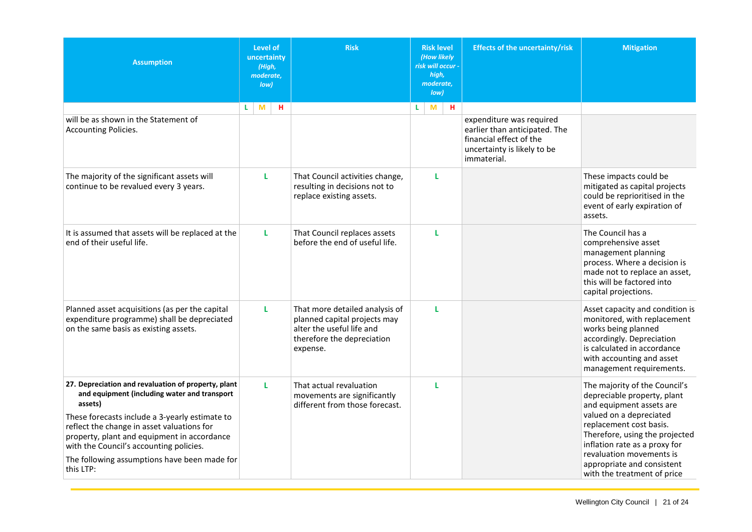<span id="page-21-0"></span>

| <b>Assumption</b>                                                                                                                                                                      | <b>Level of</b><br>uncertainty<br>(High,<br>moderate,<br>low) | <b>Risk</b>                                                                                                                           | <b>Risk level</b><br>(How likely<br>risk will occur -<br>high,<br>moderate,<br>low) | <b>Effects of the uncertainty/risk</b>                                                                 | <b>Mitigation</b>                                                                                                                                                                                          |
|----------------------------------------------------------------------------------------------------------------------------------------------------------------------------------------|---------------------------------------------------------------|---------------------------------------------------------------------------------------------------------------------------------------|-------------------------------------------------------------------------------------|--------------------------------------------------------------------------------------------------------|------------------------------------------------------------------------------------------------------------------------------------------------------------------------------------------------------------|
| will be as shown in the Statement of                                                                                                                                                   | M<br>н<br>L                                                   |                                                                                                                                       | M<br>н<br>L.                                                                        | expenditure was required                                                                               |                                                                                                                                                                                                            |
| <b>Accounting Policies.</b>                                                                                                                                                            |                                                               |                                                                                                                                       |                                                                                     | earlier than anticipated. The<br>financial effect of the<br>uncertainty is likely to be<br>immaterial. |                                                                                                                                                                                                            |
| The majority of the significant assets will<br>continue to be revalued every 3 years.                                                                                                  | L                                                             | That Council activities change,<br>resulting in decisions not to<br>replace existing assets.                                          | L                                                                                   |                                                                                                        | These impacts could be<br>mitigated as capital projects<br>could be reprioritised in the<br>event of early expiration of<br>assets.                                                                        |
| It is assumed that assets will be replaced at the<br>end of their useful life.                                                                                                         | L.                                                            | That Council replaces assets<br>before the end of useful life.                                                                        | L                                                                                   |                                                                                                        | The Council has a<br>comprehensive asset<br>management planning<br>process. Where a decision is<br>made not to replace an asset,<br>this will be factored into<br>capital projections.                     |
| Planned asset acquisitions (as per the capital<br>expenditure programme) shall be depreciated<br>on the same basis as existing assets.                                                 | L                                                             | That more detailed analysis of<br>planned capital projects may<br>alter the useful life and<br>therefore the depreciation<br>expense. | L                                                                                   |                                                                                                        | Asset capacity and condition is<br>monitored, with replacement<br>works being planned<br>accordingly. Depreciation<br>is calculated in accordance<br>with accounting and asset<br>management requirements. |
| 27. Depreciation and revaluation of property, plant<br>and equipment (including water and transport<br>assets)                                                                         | L.                                                            | That actual revaluation<br>movements are significantly<br>different from those forecast.                                              | г                                                                                   |                                                                                                        | The majority of the Council's<br>depreciable property, plant<br>and equipment assets are                                                                                                                   |
| These forecasts include a 3-yearly estimate to<br>reflect the change in asset valuations for<br>property, plant and equipment in accordance<br>with the Council's accounting policies. |                                                               |                                                                                                                                       |                                                                                     |                                                                                                        | valued on a depreciated<br>replacement cost basis.<br>Therefore, using the projected<br>inflation rate as a proxy for                                                                                      |
| The following assumptions have been made for<br>this LTP:                                                                                                                              |                                                               |                                                                                                                                       |                                                                                     |                                                                                                        | revaluation movements is<br>appropriate and consistent<br>with the treatment of price                                                                                                                      |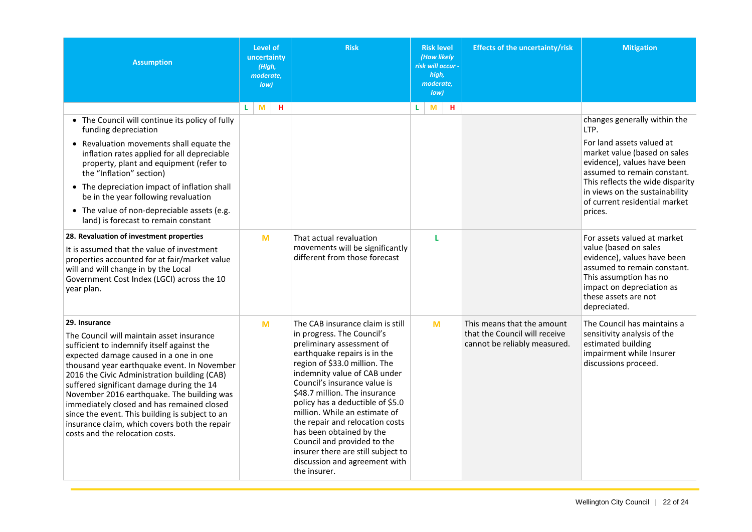<span id="page-22-0"></span>

| <b>Assumption</b>                                                                                                                                                                                                                                                                                                                                                                                                                                                                                                                 | Level of<br>uncertainty<br>(High,<br>moderate.<br>low) | <b>Risk</b>                                                                                                                                                                                                                                                                                                                                                                                                                                                                                                             |               | <b>Effects of the uncertainty/risk</b>                                                      | <b>Mitigation</b>                                                                                                                                                                                                 |
|-----------------------------------------------------------------------------------------------------------------------------------------------------------------------------------------------------------------------------------------------------------------------------------------------------------------------------------------------------------------------------------------------------------------------------------------------------------------------------------------------------------------------------------|--------------------------------------------------------|-------------------------------------------------------------------------------------------------------------------------------------------------------------------------------------------------------------------------------------------------------------------------------------------------------------------------------------------------------------------------------------------------------------------------------------------------------------------------------------------------------------------------|---------------|---------------------------------------------------------------------------------------------|-------------------------------------------------------------------------------------------------------------------------------------------------------------------------------------------------------------------|
| • The Council will continue its policy of fully<br>funding depreciation<br>• Revaluation movements shall equate the<br>inflation rates applied for all depreciable<br>property, plant and equipment (refer to                                                                                                                                                                                                                                                                                                                     | M<br>н<br>L.                                           |                                                                                                                                                                                                                                                                                                                                                                                                                                                                                                                         | н.<br>L.<br>M |                                                                                             | changes generally within the<br>LTP.<br>For land assets valued at<br>market value (based on sales<br>evidence), values have been                                                                                  |
| the "Inflation" section)<br>• The depreciation impact of inflation shall<br>be in the year following revaluation<br>• The value of non-depreciable assets (e.g.<br>land) is forecast to remain constant                                                                                                                                                                                                                                                                                                                           |                                                        |                                                                                                                                                                                                                                                                                                                                                                                                                                                                                                                         |               |                                                                                             | assumed to remain constant.<br>This reflects the wide disparity<br>in views on the sustainability<br>of current residential market<br>prices.                                                                     |
| 28. Revaluation of investment properties<br>It is assumed that the value of investment<br>properties accounted for at fair/market value<br>will and will change in by the Local<br>Government Cost Index (LGCI) across the 10<br>year plan.                                                                                                                                                                                                                                                                                       | M                                                      | That actual revaluation<br>movements will be significantly<br>different from those forecast                                                                                                                                                                                                                                                                                                                                                                                                                             | L             |                                                                                             | For assets valued at market<br>value (based on sales<br>evidence), values have been<br>assumed to remain constant.<br>This assumption has no<br>impact on depreciation as<br>these assets are not<br>depreciated. |
| 29. Insurance<br>The Council will maintain asset insurance<br>sufficient to indemnify itself against the<br>expected damage caused in a one in one<br>thousand year earthquake event. In November<br>2016 the Civic Administration building (CAB)<br>suffered significant damage during the 14<br>November 2016 earthquake. The building was<br>immediately closed and has remained closed<br>since the event. This building is subject to an<br>insurance claim, which covers both the repair<br>costs and the relocation costs. | M                                                      | The CAB insurance claim is still<br>in progress. The Council's<br>preliminary assessment of<br>earthquake repairs is in the<br>region of \$33.0 million. The<br>indemnity value of CAB under<br>Council's insurance value is<br>\$48.7 million. The insurance<br>policy has a deductible of \$5.0<br>million. While an estimate of<br>the repair and relocation costs<br>has been obtained by the<br>Council and provided to the<br>insurer there are still subject to<br>discussion and agreement with<br>the insurer. | M             | This means that the amount<br>that the Council will receive<br>cannot be reliably measured. | The Council has maintains a<br>sensitivity analysis of the<br>estimated building<br>impairment while Insurer<br>discussions proceed.                                                                              |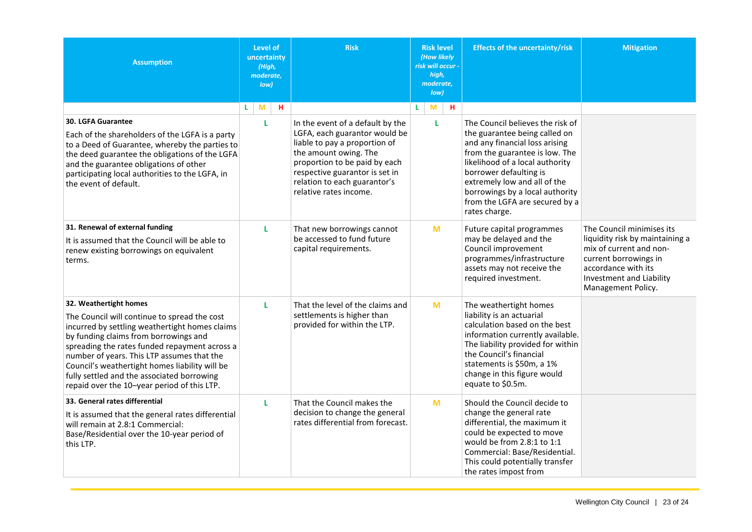<span id="page-23-3"></span><span id="page-23-2"></span><span id="page-23-1"></span><span id="page-23-0"></span>

| <b>Assumption</b>                                                                                                                                                                                                                                                                                                                                                                                               | Level of<br>uncertainty<br>(High,<br>moderate,<br>low) | <b>Risk</b>                                                                                                                                                                                                                                              | <b>Risk level</b><br>(How likely<br>risk will occur -<br>high,<br>moderate,<br>low) | <b>Effects of the uncertainty/risk</b>                                                                                                                                                                                                                                                                                   | <b>Mitigation</b>                                                                                                                                                                         |
|-----------------------------------------------------------------------------------------------------------------------------------------------------------------------------------------------------------------------------------------------------------------------------------------------------------------------------------------------------------------------------------------------------------------|--------------------------------------------------------|----------------------------------------------------------------------------------------------------------------------------------------------------------------------------------------------------------------------------------------------------------|-------------------------------------------------------------------------------------|--------------------------------------------------------------------------------------------------------------------------------------------------------------------------------------------------------------------------------------------------------------------------------------------------------------------------|-------------------------------------------------------------------------------------------------------------------------------------------------------------------------------------------|
|                                                                                                                                                                                                                                                                                                                                                                                                                 | H<br>M<br>L.                                           |                                                                                                                                                                                                                                                          | H<br>M<br>L.                                                                        |                                                                                                                                                                                                                                                                                                                          |                                                                                                                                                                                           |
| 30. LGFA Guarantee<br>Each of the shareholders of the LGFA is a party<br>to a Deed of Guarantee, whereby the parties to<br>the deed guarantee the obligations of the LGFA<br>and the guarantee obligations of other<br>participating local authorities to the LGFA, in<br>the event of default.                                                                                                                 | L                                                      | In the event of a default by the<br>LGFA, each guarantor would be<br>liable to pay a proportion of<br>the amount owing. The<br>proportion to be paid by each<br>respective guarantor is set in<br>relation to each guarantor's<br>relative rates income. | L.                                                                                  | The Council believes the risk of<br>the guarantee being called on<br>and any financial loss arising<br>from the guarantee is low. The<br>likelihood of a local authority<br>borrower defaulting is<br>extremely low and all of the<br>borrowings by a local authority<br>from the LGFA are secured by a<br>rates charge. |                                                                                                                                                                                           |
| 31. Renewal of external funding<br>It is assumed that the Council will be able to<br>renew existing borrowings on equivalent<br>terms.                                                                                                                                                                                                                                                                          | L                                                      | That new borrowings cannot<br>be accessed to fund future<br>capital requirements.                                                                                                                                                                        | M                                                                                   | Future capital programmes<br>may be delayed and the<br>Council improvement<br>programmes/infrastructure<br>assets may not receive the<br>required investment.                                                                                                                                                            | The Council minimises its<br>liquidity risk by maintaining a<br>mix of current and non-<br>current borrowings in<br>accordance with its<br>Investment and Liability<br>Management Policy. |
| 32. Weathertight homes<br>The Council will continue to spread the cost<br>incurred by settling weathertight homes claims<br>by funding claims from borrowings and<br>spreading the rates funded repayment across a<br>number of years. This LTP assumes that the<br>Council's weathertight homes liability will be<br>fully settled and the associated borrowing<br>repaid over the 10-year period of this LTP. | L                                                      | That the level of the claims and<br>settlements is higher than<br>provided for within the LTP.                                                                                                                                                           | M                                                                                   | The weathertight homes<br>liability is an actuarial<br>calculation based on the best<br>information currently available.<br>The liability provided for within<br>the Council's financial<br>statements is \$50m, a 1%<br>change in this figure would<br>equate to \$0.5m.                                                |                                                                                                                                                                                           |
| 33. General rates differential<br>It is assumed that the general rates differential<br>will remain at 2.8:1 Commercial:<br>Base/Residential over the 10-year period of<br>this LTP.                                                                                                                                                                                                                             | L                                                      | That the Council makes the<br>decision to change the general<br>rates differential from forecast.                                                                                                                                                        | M                                                                                   | Should the Council decide to<br>change the general rate<br>differential, the maximum it<br>could be expected to move<br>would be from 2.8:1 to 1:1<br>Commercial: Base/Residential.<br>This could potentially transfer<br>the rates impost from                                                                          |                                                                                                                                                                                           |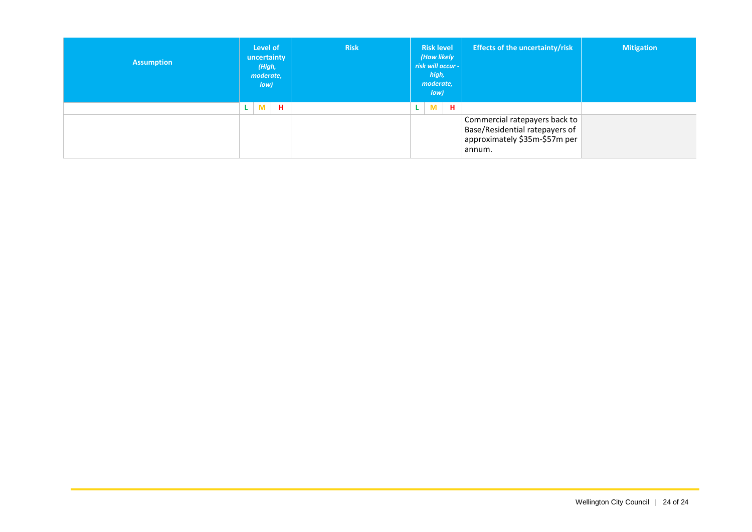| <b>Assumption</b> | Level of<br>uncertainty<br>(High,<br>moderate,<br>low) | <b>Risk</b> | <b>Risk level</b><br>(How likely<br>risk will occur -<br>high,<br>moderate,<br>low) | <b>Effects of the uncertainty/risk</b>                                                                     | <b>Mitigation</b> |
|-------------------|--------------------------------------------------------|-------------|-------------------------------------------------------------------------------------|------------------------------------------------------------------------------------------------------------|-------------------|
|                   | H.<br>M                                                |             | H.<br>M<br>. L                                                                      | Commercial ratepayers back to<br>Base/Residential ratepayers of<br>approximately \$35m-\$57m per<br>annum. |                   |